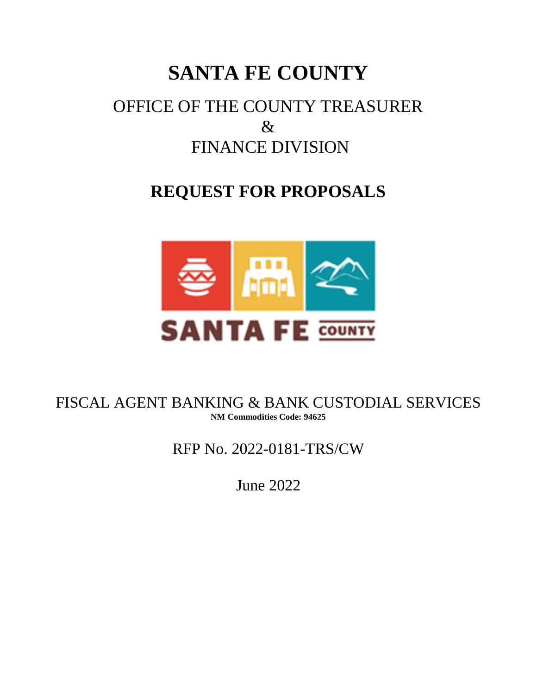# **SANTA FE COUNTY**

# OFFICE OF THE COUNTY TREASURER & FINANCE DIVISION

# **REQUEST FOR PROPOSALS**



FISCAL AGENT BANKING & BANK CUSTODIAL SERVICES **NM Commodities Code: 94625**

RFP No. 2022-0181-TRS/CW

June 2022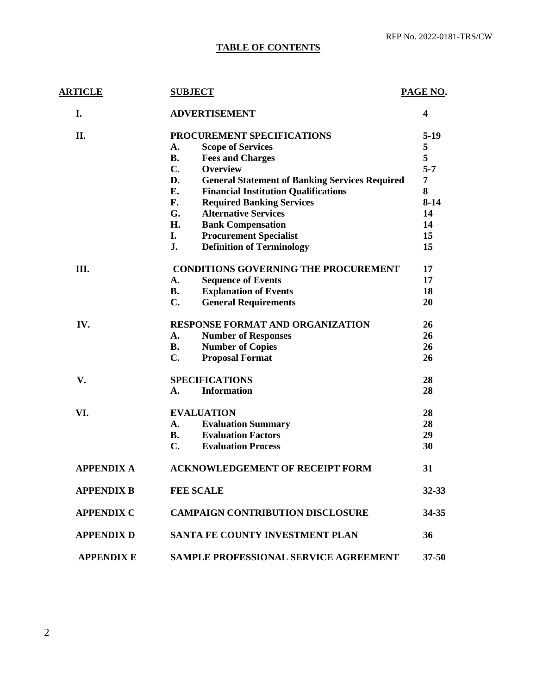# **TABLE OF CONTENTS**

| <b>ARTICLE</b>    | <b>SUBJECT</b>                                              | PAGE NO.  |
|-------------------|-------------------------------------------------------------|-----------|
| I.                | <b>ADVERTISEMENT</b>                                        | 4         |
| II.               | PROCUREMENT SPECIFICATIONS                                  | 5-19      |
|                   | <b>Scope of Services</b><br>A.                              | 5         |
|                   | <b>B.</b><br><b>Fees and Charges</b>                        | 5         |
|                   | $C_{\bullet}$<br><b>Overview</b>                            | $5 - 7$   |
|                   | D.<br><b>General Statement of Banking Services Required</b> | 7         |
|                   | Е.<br><b>Financial Institution Qualifications</b>           | 8         |
|                   | F.<br><b>Required Banking Services</b>                      | $8-14$    |
|                   | G.<br><b>Alternative Services</b>                           | 14        |
|                   | H.<br><b>Bank Compensation</b>                              | 14        |
|                   | I.<br><b>Procurement Specialist</b>                         | 15        |
|                   | <b>Definition of Terminology</b><br>J.                      | 15        |
| Ш.                | <b>CONDITIONS GOVERNING THE PROCUREMENT</b>                 | 17        |
|                   | <b>Sequence of Events</b><br>A.                             | 17        |
|                   | <b>Explanation of Events</b><br><b>B.</b>                   | 18        |
|                   | $C_{\bullet}$<br><b>General Requirements</b>                | 20        |
| IV.               | <b>RESPONSE FORMAT AND ORGANIZATION</b>                     | 26        |
|                   | <b>Number of Responses</b><br>A.                            | 26        |
|                   | <b>B.</b><br><b>Number of Copies</b>                        | 26        |
|                   | $C_{\bullet}$<br><b>Proposal Format</b>                     | 26        |
| V.                | <b>SPECIFICATIONS</b>                                       | 28        |
|                   | <b>Information</b><br>A.                                    | 28        |
| VI.               | <b>EVALUATION</b>                                           | 28        |
|                   | <b>Evaluation Summary</b><br>A.                             | 28        |
|                   | <b>Evaluation Factors</b><br><b>B.</b>                      | 29        |
|                   | $C_{\bullet}$<br><b>Evaluation Process</b>                  | 30        |
| <b>APPENDIX A</b> | <b>ACKNOWLEDGEMENT OF RECEIPT FORM</b>                      | 31        |
| <b>APPENDIX B</b> | <b>FEE SCALE</b>                                            | $32 - 33$ |
| <b>APPENDIX C</b> | <b>CAMPAIGN CONTRIBUTION DISCLOSURE</b>                     | 34-35     |
| <b>APPENDIX D</b> | <b>SANTA FE COUNTY INVESTMENT PLAN</b>                      | 36        |
| <b>APPENDIX E</b> | SAMPLE PROFESSIONAL SERVICE AGREEMENT                       | $37 - 50$ |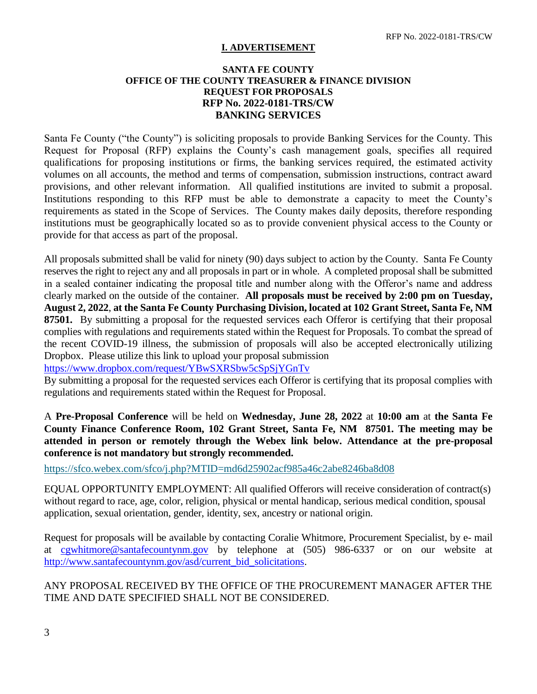# **I. ADVERTISEMENT**

## **SANTA FE COUNTY OFFICE OF THE COUNTY TREASURER & FINANCE DIVISION REQUEST FOR PROPOSALS RFP No. 2022-0181-TRS/CW BANKING SERVICES**

Santa Fe County ("the County") is soliciting proposals to provide Banking Services for the County. This Request for Proposal (RFP) explains the County's cash management goals, specifies all required qualifications for proposing institutions or firms, the banking services required, the estimated activity volumes on all accounts, the method and terms of compensation, submission instructions, contract award provisions, and other relevant information. All qualified institutions are invited to submit a proposal. Institutions responding to this RFP must be able to demonstrate a capacity to meet the County's requirements as stated in the Scope of Services. The County makes daily deposits, therefore responding institutions must be geographically located so as to provide convenient physical access to the County or provide for that access as part of the proposal.

All proposals submitted shall be valid for ninety (90) days subject to action by the County. Santa Fe County reserves the right to reject any and all proposals in part or in whole. A completed proposal shall be submitted in a sealed container indicating the proposal title and number along with the Offeror's name and address clearly marked on the outside of the container. **All proposals must be received by 2:00 pm on Tuesday, August 2, 2022**, **at the Santa Fe County Purchasing Division, located at 102 Grant Street, Santa Fe, NM 87501.** By submitting a proposal for the requested services each Offeror is certifying that their proposal complies with regulations and requirements stated within the Request for Proposals. To combat the spread of the recent COVID-19 illness, the submission of proposals will also be accepted electronically utilizing Dropbox. Please utilize this link to upload your proposal submission

<https://www.dropbox.com/request/YBwSXRSbw5cSpSjYGnTv>

By submitting a proposal for the requested services each Offeror is certifying that its proposal complies with regulations and requirements stated within the Request for Proposal.

A **Pre-Proposal Conference** will be held on **Wednesday, June 28, 2022** at **10:00 am** at **the Santa Fe County Finance Conference Room, 102 Grant Street, Santa Fe, NM 87501. The meeting may be attended in person or remotely through the Webex link below. Attendance at the pre-proposal conference is not mandatory but strongly recommended.** 

<https://sfco.webex.com/sfco/j.php?MTID=md6d25902acf985a46c2abe8246ba8d08>

EQUAL OPPORTUNITY EMPLOYMENT: All qualified Offerors will receive consideration of contract(s) without regard to race, age, color, religion, physical or mental handicap, serious medical condition, spousal application, sexual orientation, gender, identity, sex, ancestry or national origin.

Request for proposals will be available by contacting Coralie Whitmore, Procurement Specialist, by e- mail at [cgwhitmore@santafecountynm.gov](mailto:cgwhitmore@santafecountynm.gov) by telephone at (505) 986-6337 or on our website at [http://www.santafecountynm.gov/asd/current\\_bid\\_solicitations.](http://www.santafecountynm.gov/asd/current_bid_solicitations)

ANY PROPOSAL RECEIVED BY THE OFFICE OF THE PROCUREMENT MANAGER AFTER THE TIME AND DATE SPECIFIED SHALL NOT BE CONSIDERED.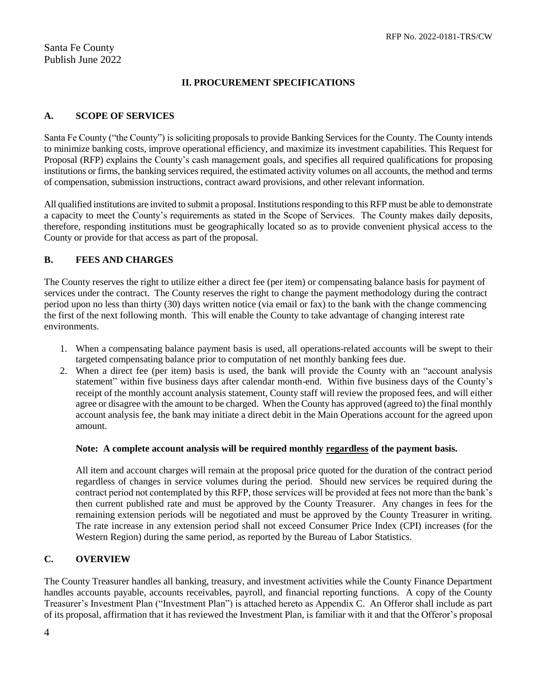# **II. PROCUREMENT SPECIFICATIONS**

# **A. SCOPE OF SERVICES**

Santa Fe County ("the County") is soliciting proposals to provide Banking Services for the County. The County intends to minimize banking costs, improve operational efficiency, and maximize its investment capabilities. This Request for Proposal (RFP) explains the County's cash management goals, and specifies all required qualifications for proposing institutions or firms, the banking services required, the estimated activity volumes on all accounts, the method and terms of compensation, submission instructions, contract award provisions, and other relevant information.

All qualified institutions are invited to submit a proposal. Institutions responding to this RFP must be able to demonstrate a capacity to meet the County's requirements as stated in the Scope of Services. The County makes daily deposits, therefore, responding institutions must be geographically located so as to provide convenient physical access to the County or provide for that access as part of the proposal.

# **B. FEES AND CHARGES**

The County reserves the right to utilize either a direct fee (per item) or compensating balance basis for payment of services under the contract. The County reserves the right to change the payment methodology during the contract period upon no less than thirty (30) days written notice (via email or fax) to the bank with the change commencing the first of the next following month. This will enable the County to take advantage of changing interest rate environments.

- 1. When a compensating balance payment basis is used, all operations-related accounts will be swept to their targeted compensating balance prior to computation of net monthly banking fees due.
- 2. When a direct fee (per item) basis is used, the bank will provide the County with an "account analysis statement" within five business days after calendar month-end. Within five business days of the County's receipt of the monthly account analysis statement, County staff will review the proposed fees, and will either agree or disagree with the amount to be charged. When the County has approved (agreed to) the final monthly account analysis fee, the bank may initiate a direct debit in the Main Operations account for the agreed upon amount.

## **Note: A complete account analysis will be required monthly regardless of the payment basis.**

All item and account charges will remain at the proposal price quoted for the duration of the contract period regardless of changes in service volumes during the period. Should new services be required during the contract period not contemplated by this RFP, those services will be provided at fees not more than the bank's then current published rate and must be approved by the County Treasurer. Any changes in fees for the remaining extension periods will be negotiated and must be approved by the County Treasurer in writing. The rate increase in any extension period shall not exceed Consumer Price Index (CPI) increases (for the Western Region) during the same period, as reported by the Bureau of Labor Statistics.

# **C. OVERVIEW**

The County Treasurer handles all banking, treasury, and investment activities while the County Finance Department handles accounts payable, accounts receivables, payroll, and financial reporting functions. A copy of the County Treasurer's Investment Plan ("Investment Plan") is attached hereto as Appendix C. An Offeror shall include as part of its proposal, affirmation that it has reviewed the Investment Plan, is familiar with it and that the Offeror's proposal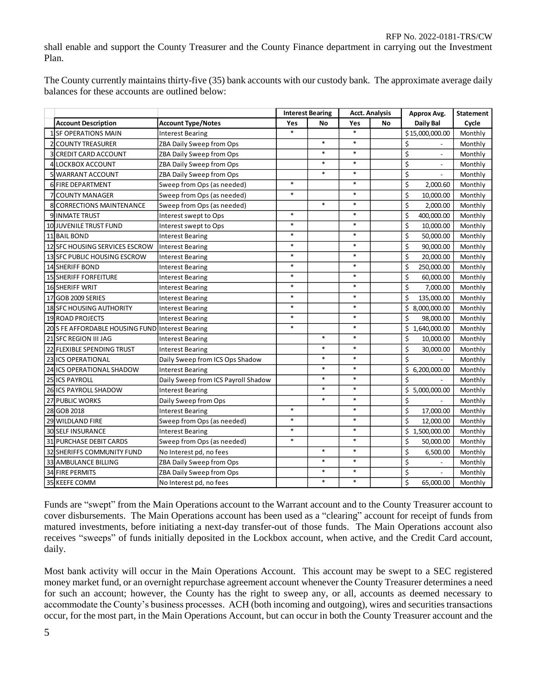shall enable and support the County Treasurer and the County Finance department in carrying out the Investment Plan.

The County currently maintains thirty-five (35) bank accounts with our custody bank. The approximate average daily balances for these accounts are outlined below:

|                                                  |                                     |        | <b>Interest Bearing</b> |        |    |                                              | <b>Acct. Analysis</b><br>Approx Avg. |  | <b>Statement</b> |
|--------------------------------------------------|-------------------------------------|--------|-------------------------|--------|----|----------------------------------------------|--------------------------------------|--|------------------|
| <b>Account Description</b>                       | <b>Account Type/Notes</b>           | Yes    | No                      | Yes    | No | Daily Bal                                    | Cycle                                |  |                  |
| <b>1 SF OPERATIONS MAIN</b>                      | <b>Interest Bearing</b>             | $\ast$ |                         | $\ast$ |    | \$15,000,000.00                              | Monthly                              |  |                  |
| <b>2 COUNTY TREASURER</b>                        | ZBA Daily Sweep from Ops            |        | $\ast$                  | $\ast$ |    | \$                                           | Monthly                              |  |                  |
| <b>3 CREDIT CARD ACCOUNT</b>                     | ZBA Daily Sweep from Ops            |        | $\ast$                  | $\ast$ |    | \$                                           | Monthly                              |  |                  |
| <b>4 LOCKBOX ACCOUNT</b>                         | ZBA Daily Sweep from Ops            |        | $\ast$                  | $\ast$ |    | \$<br>$\overline{\phantom{a}}$               | Monthly                              |  |                  |
| 5 WARRANT ACCOUNT                                | ZBA Daily Sweep from Ops            |        | $\ast$                  | $\ast$ |    | $\overline{\boldsymbol{\varsigma}}$          | Monthly                              |  |                  |
| 6 FIRE DEPARTMENT                                | Sweep from Ops (as needed)          | $\ast$ |                         | $\ast$ |    | \$<br>2,000.60                               | Monthly                              |  |                  |
| <b>7 COUNTY MANAGER</b>                          | Sweep from Ops (as needed)          | $\ast$ |                         | $\ast$ |    | \$<br>10,000.00                              | Monthly                              |  |                  |
| 8 CORRECTIONS MAINTENANCE                        | Sweep from Ops (as needed)          |        | $\ast$                  | $\ast$ |    | \$<br>2,000.00                               | Monthly                              |  |                  |
| <b>9 INMATE TRUST</b>                            | Interest swept to Ops               | $\ast$ |                         | $\ast$ |    | \$<br>400,000.00                             | Monthly                              |  |                  |
| 10 JUVENILE TRUST FUND                           | Interest swept to Ops               | $\ast$ |                         | *      |    | \$<br>10,000.00                              | Monthly                              |  |                  |
| 11 BAIL BOND                                     | <b>Interest Bearing</b>             | $\ast$ |                         | $\ast$ |    | \$<br>50,000.00                              | Monthly                              |  |                  |
| 12 SFC HOUSING SERVICES ESCROW                   | Interest Bearing                    | $\ast$ |                         | $\ast$ |    | \$<br>90,000.00                              | Monthly                              |  |                  |
| 13 SFC PUBLIC HOUSING ESCROW                     | <b>Interest Bearing</b>             | $\ast$ |                         | $\ast$ |    | \$<br>20,000.00                              | Monthly                              |  |                  |
| <b>14 SHERIFF BOND</b>                           | <b>Interest Bearing</b>             | $\ast$ |                         | $\ast$ |    | \$<br>250,000.00                             | Monthly                              |  |                  |
| <b>15 SHERIFF FORFEITURE</b>                     | <b>Interest Bearing</b>             | $\ast$ |                         | $\ast$ |    | \$<br>60,000.00                              | Monthly                              |  |                  |
| <b>16 SHERIFF WRIT</b>                           | <b>Interest Bearing</b>             | $\ast$ |                         | $\ast$ |    | Ś<br>7,000.00                                | Monthly                              |  |                  |
| 17 GOB 2009 SERIES                               | <b>Interest Bearing</b>             | $\ast$ |                         | $\ast$ |    | Ś<br>135,000.00                              | Monthly                              |  |                  |
| <b>18 SFC HOUSING AUTHORITY</b>                  | <b>Interest Bearing</b>             | $\ast$ |                         | $\ast$ |    | \$8,000,000.00                               | Monthly                              |  |                  |
| <b>19 ROAD PROJECTS</b>                          | <b>Interest Bearing</b>             | $\ast$ |                         | $\ast$ |    | Ś<br>98,000.00                               | Monthly                              |  |                  |
| 20 S FE AFFORDABLE HOUSING FUND Interest Bearing |                                     | $\ast$ |                         | $\ast$ |    | \$1,640,000.00                               | Monthly                              |  |                  |
| 21 SFC REGION III JAG                            | <b>Interest Bearing</b>             |        | $\ast$                  | $\ast$ |    | \$<br>10,000.00                              | Monthly                              |  |                  |
| 22 FLEXIBLE SPENDING TRUST                       | <b>Interest Bearing</b>             |        | $\ast$                  | $\ast$ |    | \$<br>30,000.00                              | Monthly                              |  |                  |
| <b>23 ICS OPERATIONAL</b>                        | Daily Sweep from ICS Ops Shadow     |        | $\ast$                  | $\ast$ |    | \$                                           | Monthly                              |  |                  |
| 24 ICS OPERATIONAL SHADOW                        | <b>Interest Bearing</b>             |        | $\ast$                  | $\ast$ |    | \$6,200,000.00                               | Monthly                              |  |                  |
| 25 ICS PAYROLL                                   | Daily Sweep from ICS Payroll Shadow |        | $\ast$                  | $\ast$ |    | Ś                                            | Monthly                              |  |                  |
| 26 ICS PAYROLL SHADOW                            | <b>Interest Bearing</b>             |        | $\ast$                  | $\ast$ |    | \$5,000,000.00                               | Monthly                              |  |                  |
| 27 PUBLIC WORKS                                  | Daily Sweep from Ops                |        | $\ast$                  | $\ast$ |    | \$                                           | Monthly                              |  |                  |
| 28 GOB 2018                                      | <b>Interest Bearing</b>             | $\ast$ |                         | $\ast$ |    | \$<br>17,000.00                              | Monthly                              |  |                  |
| 29 WILDLAND FIRE                                 | Sweep from Ops (as needed)          | $\ast$ |                         | $\ast$ |    | \$<br>12,000.00                              | Monthly                              |  |                  |
| <b>30 SELF INSURANCE</b>                         | <b>Interest Bearing</b>             | $\ast$ |                         | $\ast$ |    | \$1,500,000.00                               | Monthly                              |  |                  |
| <b>31 PURCHASE DEBIT CARDS</b>                   | Sweep from Ops (as needed)          | $\ast$ |                         | $\ast$ |    | \$<br>50,000.00                              | Monthly                              |  |                  |
| 32 SHERIFFS COMMUNITY FUND                       | No Interest pd, no fees             |        | $\ast$                  | $\ast$ |    | \$<br>6,500.00                               | Monthly                              |  |                  |
| <b>33 AMBULANCE BILLING</b>                      | ZBA Daily Sweep from Ops            |        | $\ast$                  | $\ast$ |    | \$                                           | Monthly                              |  |                  |
| <b>34 FIRE PERMITS</b>                           | ZBA Daily Sweep from Ops            |        | $\ast$                  | $\ast$ |    | \$<br>$\overline{\phantom{a}}$               | Monthly                              |  |                  |
| 35 KEEFE COMM                                    | No Interest pd, no fees             |        | $\ast$                  | $\ast$ |    | $\overline{\boldsymbol{\zeta}}$<br>65,000.00 | Monthly                              |  |                  |

Funds are "swept" from the Main Operations account to the Warrant account and to the County Treasurer account to cover disbursements. The Main Operations account has been used as a "clearing" account for receipt of funds from matured investments, before initiating a next-day transfer-out of those funds. The Main Operations account also receives "sweeps" of funds initially deposited in the Lockbox account, when active, and the Credit Card account, daily.

Most bank activity will occur in the Main Operations Account. This account may be swept to a SEC registered money market fund, or an overnight repurchase agreement account whenever the County Treasurer determines a need for such an account; however, the County has the right to sweep any, or all, accounts as deemed necessary to accommodate the County's business processes. ACH (both incoming and outgoing), wires and securities transactions occur, for the most part, in the Main Operations Account, but can occur in both the County Treasurer account and the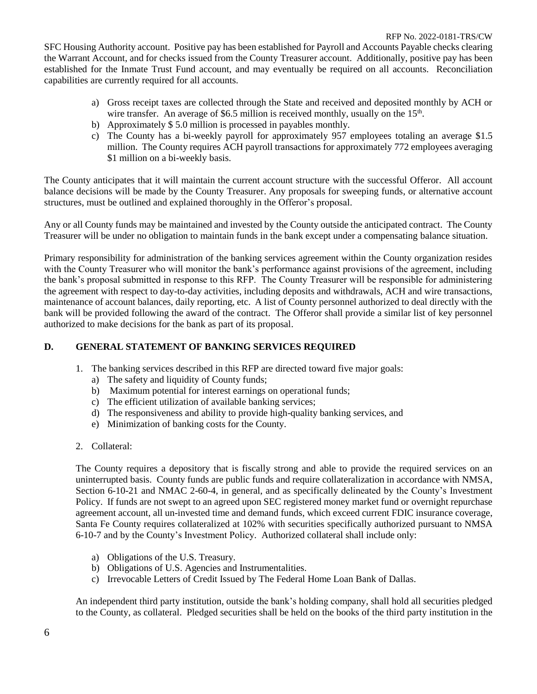SFC Housing Authority account. Positive pay has been established for Payroll and Accounts Payable checks clearing the Warrant Account, and for checks issued from the County Treasurer account. Additionally, positive pay has been established for the Inmate Trust Fund account, and may eventually be required on all accounts. Reconciliation capabilities are currently required for all accounts.

- a) Gross receipt taxes are collected through the State and received and deposited monthly by ACH or wire transfer. An average of \$6.5 million is received monthly, usually on the  $15<sup>th</sup>$ .
- b) Approximately \$ 5.0 million is processed in payables monthly.
- c) The County has a bi-weekly payroll for approximately 957 employees totaling an average \$1.5 million. The County requires ACH payroll transactions for approximately 772 employees averaging \$1 million on a bi-weekly basis.

The County anticipates that it will maintain the current account structure with the successful Offeror. All account balance decisions will be made by the County Treasurer. Any proposals for sweeping funds, or alternative account structures, must be outlined and explained thoroughly in the Offeror's proposal.

Any or all County funds may be maintained and invested by the County outside the anticipated contract. The County Treasurer will be under no obligation to maintain funds in the bank except under a compensating balance situation.

Primary responsibility for administration of the banking services agreement within the County organization resides with the County Treasurer who will monitor the bank's performance against provisions of the agreement, including the bank's proposal submitted in response to this RFP. The County Treasurer will be responsible for administering the agreement with respect to day-to-day activities, including deposits and withdrawals, ACH and wire transactions, maintenance of account balances, daily reporting, etc. A list of County personnel authorized to deal directly with the bank will be provided following the award of the contract. The Offeror shall provide a similar list of key personnel authorized to make decisions for the bank as part of its proposal.

# **D. GENERAL STATEMENT OF BANKING SERVICES REQUIRED**

- 1. The banking services described in this RFP are directed toward five major goals:
	- a) The safety and liquidity of County funds;
	- b) Maximum potential for interest earnings on operational funds;
	- c) The efficient utilization of available banking services;
	- d) The responsiveness and ability to provide high-quality banking services, and
	- e) Minimization of banking costs for the County.
- 2. Collateral:

The County requires a depository that is fiscally strong and able to provide the required services on an uninterrupted basis. County funds are public funds and require collateralization in accordance with NMSA, Section 6-10-21 and NMAC 2-60-4, in general, and as specifically delineated by the County's Investment Policy. If funds are not swept to an agreed upon SEC registered money market fund or overnight repurchase agreement account, all un-invested time and demand funds, which exceed current FDIC insurance coverage, Santa Fe County requires collateralized at 102% with securities specifically authorized pursuant to NMSA 6-10-7 and by the County's Investment Policy. Authorized collateral shall include only:

- a) Obligations of the U.S. Treasury.
- b) Obligations of U.S. Agencies and Instrumentalities.
- c) Irrevocable Letters of Credit Issued by The Federal Home Loan Bank of Dallas.

An independent third party institution, outside the bank's holding company, shall hold all securities pledged to the County, as collateral. Pledged securities shall be held on the books of the third party institution in the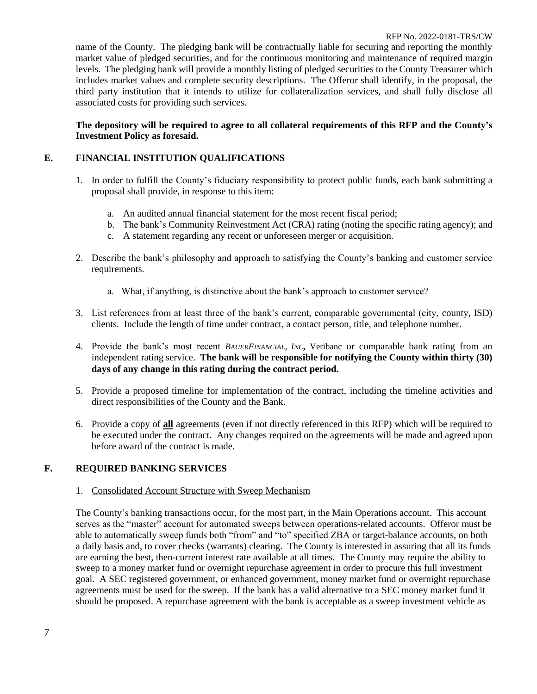name of the County. The pledging bank will be contractually liable for securing and reporting the monthly market value of pledged securities, and for the continuous monitoring and maintenance of required margin levels. The pledging bank will provide a monthly listing of pledged securities to the County Treasurer which includes market values and complete security descriptions. The Offeror shall identify, in the proposal, the third party institution that it intends to utilize for collateralization services, and shall fully disclose all associated costs for providing such services.

## **The depository will be required to agree to all collateral requirements of this RFP and the County's Investment Policy as foresaid.**

## **E. FINANCIAL INSTITUTION QUALIFICATIONS**

- 1. In order to fulfill the County's fiduciary responsibility to protect public funds, each bank submitting a proposal shall provide, in response to this item:
	- a. An audited annual financial statement for the most recent fiscal period;
	- b. The bank's Community Reinvestment Act (CRA) rating (noting the specific rating agency); and
	- c. A statement regarding any recent or unforeseen merger or acquisition.
- 2. Describe the bank's philosophy and approach to satisfying the County's banking and customer service requirements.
	- a. What, if anything, is distinctive about the bank's approach to customer service?
- 3. List references from at least three of the bank's current, comparable governmental (city, county, ISD) clients. Include the length of time under contract, a contact person, title, and telephone number.
- 4. Provide the bank's most recent *BAUERFINANCIAL, INC***,** Veribanc or comparable bank rating from an independent rating service. **The bank will be responsible for notifying the County within thirty (30) days of any change in this rating during the contract period.**
- 5. Provide a proposed timeline for implementation of the contract, including the timeline activities and direct responsibilities of the County and the Bank.
- 6. Provide a copy of **all** agreements (even if not directly referenced in this RFP) which will be required to be executed under the contract. Any changes required on the agreements will be made and agreed upon before award of the contract is made.

## **F. REQUIRED BANKING SERVICES**

#### 1. Consolidated Account Structure with Sweep Mechanism

The County's banking transactions occur, for the most part, in the Main Operations account. This account serves as the "master" account for automated sweeps between operations-related accounts. Offeror must be able to automatically sweep funds both "from" and "to" specified ZBA or target-balance accounts, on both a daily basis and, to cover checks (warrants) clearing. The County is interested in assuring that all its funds are earning the best, then-current interest rate available at all times. The County may require the ability to sweep to a money market fund or overnight repurchase agreement in order to procure this full investment goal. A SEC registered government, or enhanced government, money market fund or overnight repurchase agreements must be used for the sweep. If the bank has a valid alternative to a SEC money market fund it should be proposed. A repurchase agreement with the bank is acceptable as a sweep investment vehicle as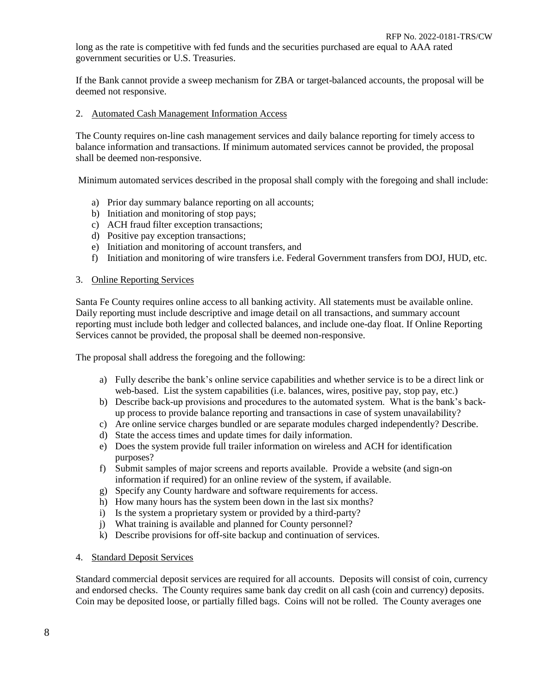long as the rate is competitive with fed funds and the securities purchased are equal to AAA rated government securities or U.S. Treasuries.

If the Bank cannot provide a sweep mechanism for ZBA or target-balanced accounts, the proposal will be deemed not responsive.

#### 2. Automated Cash Management Information Access

The County requires on-line cash management services and daily balance reporting for timely access to balance information and transactions. If minimum automated services cannot be provided, the proposal shall be deemed non-responsive.

Minimum automated services described in the proposal shall comply with the foregoing and shall include:

- a) Prior day summary balance reporting on all accounts;
- b) Initiation and monitoring of stop pays;
- c) ACH fraud filter exception transactions;
- d) Positive pay exception transactions;
- e) Initiation and monitoring of account transfers, and
- f) Initiation and monitoring of wire transfers i.e. Federal Government transfers from DOJ, HUD, etc.

#### 3. Online Reporting Services

Santa Fe County requires online access to all banking activity. All statements must be available online. Daily reporting must include descriptive and image detail on all transactions, and summary account reporting must include both ledger and collected balances, and include one-day float. If Online Reporting Services cannot be provided, the proposal shall be deemed non-responsive.

The proposal shall address the foregoing and the following:

- a) Fully describe the bank's online service capabilities and whether service is to be a direct link or web-based. List the system capabilities (i.e. balances, wires, positive pay, stop pay, etc.)
- b) Describe back-up provisions and procedures to the automated system. What is the bank's backup process to provide balance reporting and transactions in case of system unavailability?
- c) Are online service charges bundled or are separate modules charged independently? Describe.
- d) State the access times and update times for daily information.
- e) Does the system provide full trailer information on wireless and ACH for identification purposes?
- f) Submit samples of major screens and reports available. Provide a website (and sign-on information if required) for an online review of the system, if available.
- g) Specify any County hardware and software requirements for access.
- h) How many hours has the system been down in the last six months?
- i) Is the system a proprietary system or provided by a third-party?
- j) What training is available and planned for County personnel?
- k) Describe provisions for off-site backup and continuation of services.
- 4. Standard Deposit Services

Standard commercial deposit services are required for all accounts. Deposits will consist of coin, currency and endorsed checks. The County requires same bank day credit on all cash (coin and currency) deposits. Coin may be deposited loose, or partially filled bags. Coins will not be rolled. The County averages one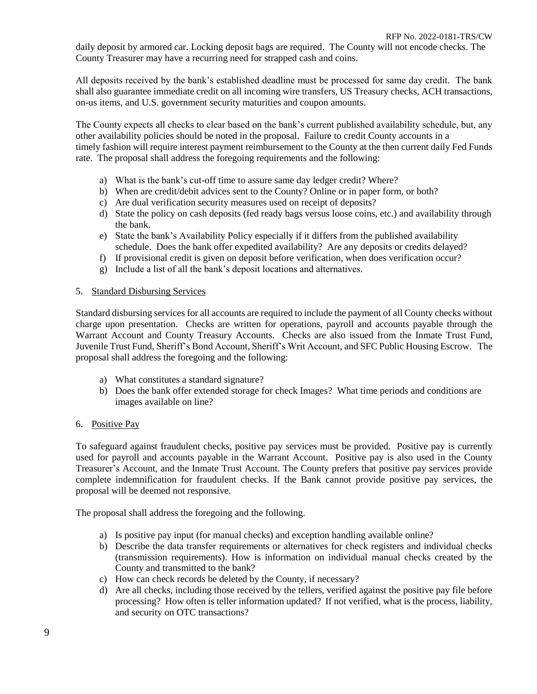daily deposit by armored car. Locking deposit bags are required. The County will not encode checks. The County Treasurer may have a recurring need for strapped cash and coins.

All deposits received by the bank's established deadline must be processed for same day credit. The bank shall also guarantee immediate credit on all incoming wire transfers, US Treasury checks, ACH transactions, on-us items, and U.S. government security maturities and coupon amounts.

The County expects all checks to clear based on the bank's current published availability schedule, but, any other availability policies should be noted in the proposal. Failure to credit County accounts in a timely fashion will require interest payment reimbursement to the County at the then current daily Fed Funds rate. The proposal shall address the foregoing requirements and the following:

- a) What is the bank's cut-off time to assure same day ledger credit? Where?
- b) When are credit/debit advices sent to the County? Online or in paper form, or both?
- c) Are dual verification security measures used on receipt of deposits?
- d) State the policy on cash deposits (fed ready bags versus loose coins, etc.) and availability through the bank.
- e) State the bank's Availability Policy especially if it differs from the published availability schedule. Does the bank offer expedited availability? Are any deposits or credits delayed?
- f) If provisional credit is given on deposit before verification, when does verification occur?
- g) Include a list of all the bank's deposit locations and alternatives.

#### 5. Standard Disbursing Services

Standard disbursing services for all accounts are required to include the payment of all County checks without charge upon presentation. Checks are written for operations, payroll and accounts payable through the Warrant Account and County Treasury Accounts. Checks are also issued from the Inmate Trust Fund, Juvenile Trust Fund, Sheriff's Bond Account, Sheriff's Writ Account, and SFC Public Housing Escrow. The proposal shall address the foregoing and the following:

- a) What constitutes a standard signature?
- b) Does the bank offer extended storage for check Images? What time periods and conditions are images available on line?

#### 6. Positive Pay

To safeguard against fraudulent checks, positive pay services must be provided. Positive pay is currently used for payroll and accounts payable in the Warrant Account. Positive pay is also used in the County Treasurer's Account, and the Inmate Trust Account. The County prefers that positive pay services provide complete indemnification for fraudulent checks. If the Bank cannot provide positive pay services, the proposal will be deemed not responsive.

The proposal shall address the foregoing and the following.

- a) Is positive pay input (for manual checks) and exception handling available online?
- b) Describe the data transfer requirements or alternatives for check registers and individual checks (transmission requirements). How is information on individual manual checks created by the County and transmitted to the bank?
- c) How can check records be deleted by the County, if necessary?
- d) Are all checks, including those received by the tellers, verified against the positive pay file before processing? How often is teller information updated? If not verified, what is the process, liability, and security on OTC transactions?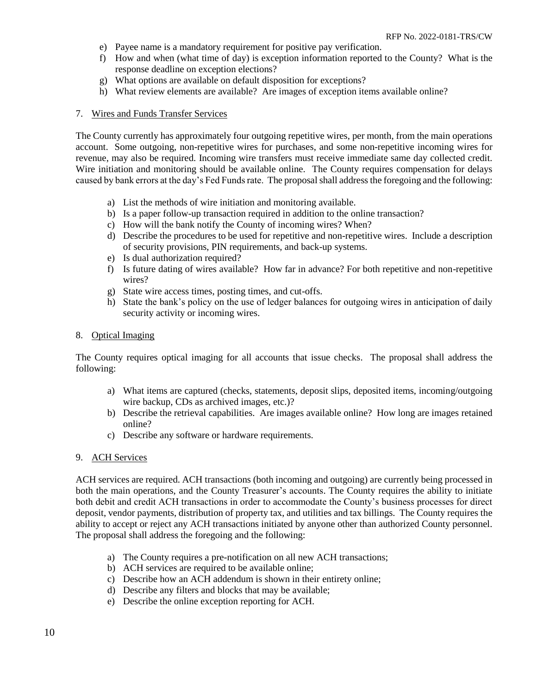- e) Payee name is a mandatory requirement for positive pay verification.
- f) How and when (what time of day) is exception information reported to the County? What is the response deadline on exception elections?
- g) What options are available on default disposition for exceptions?
- h) What review elements are available? Are images of exception items available online?

### 7. Wires and Funds Transfer Services

The County currently has approximately four outgoing repetitive wires, per month, from the main operations account. Some outgoing, non-repetitive wires for purchases, and some non-repetitive incoming wires for revenue, may also be required. Incoming wire transfers must receive immediate same day collected credit. Wire initiation and monitoring should be available online. The County requires compensation for delays caused by bank errors at the day's Fed Funds rate. The proposal shall address the foregoing and the following:

- a) List the methods of wire initiation and monitoring available.
- b) Is a paper follow-up transaction required in addition to the online transaction?
- c) How will the bank notify the County of incoming wires? When?
- d) Describe the procedures to be used for repetitive and non-repetitive wires. Include a description of security provisions, PIN requirements, and back-up systems.
- e) Is dual authorization required?
- f) Is future dating of wires available? How far in advance? For both repetitive and non-repetitive wires?
- g) State wire access times, posting times, and cut-offs.
- h) State the bank's policy on the use of ledger balances for outgoing wires in anticipation of daily security activity or incoming wires.

#### 8. Optical Imaging

The County requires optical imaging for all accounts that issue checks. The proposal shall address the following:

- a) What items are captured (checks, statements, deposit slips, deposited items, incoming/outgoing wire backup, CDs as archived images, etc.)?
- b) Describe the retrieval capabilities. Are images available online? How long are images retained online?
- c) Describe any software or hardware requirements.

#### 9. ACH Services

ACH services are required. ACH transactions (both incoming and outgoing) are currently being processed in both the main operations, and the County Treasurer's accounts. The County requires the ability to initiate both debit and credit ACH transactions in order to accommodate the County's business processes for direct deposit, vendor payments, distribution of property tax, and utilities and tax billings. The County requires the ability to accept or reject any ACH transactions initiated by anyone other than authorized County personnel. The proposal shall address the foregoing and the following:

- a) The County requires a pre-notification on all new ACH transactions;
- b) ACH services are required to be available online;
- c) Describe how an ACH addendum is shown in their entirety online;
- d) Describe any filters and blocks that may be available;
- e) Describe the online exception reporting for ACH.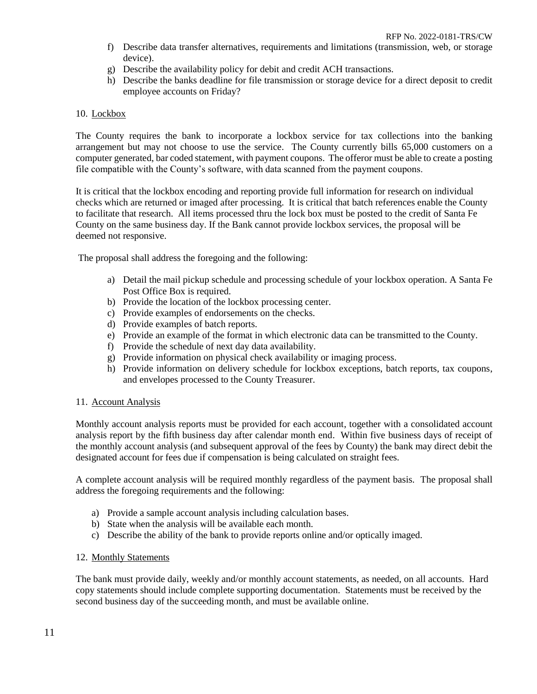- f) Describe data transfer alternatives, requirements and limitations (transmission, web, or storage device).
- g) Describe the availability policy for debit and credit ACH transactions.
- h) Describe the banks deadline for file transmission or storage device for a direct deposit to credit employee accounts on Friday?

## 10. Lockbox

The County requires the bank to incorporate a lockbox service for tax collections into the banking arrangement but may not choose to use the service. The County currently bills 65,000 customers on a computer generated, bar coded statement, with payment coupons. The offeror must be able to create a posting file compatible with the County's software, with data scanned from the payment coupons.

It is critical that the lockbox encoding and reporting provide full information for research on individual checks which are returned or imaged after processing. It is critical that batch references enable the County to facilitate that research. All items processed thru the lock box must be posted to the credit of Santa Fe County on the same business day. If the Bank cannot provide lockbox services, the proposal will be deemed not responsive.

The proposal shall address the foregoing and the following:

- a) Detail the mail pickup schedule and processing schedule of your lockbox operation. A Santa Fe Post Office Box is required.
- b) Provide the location of the lockbox processing center.
- c) Provide examples of endorsements on the checks.
- d) Provide examples of batch reports.
- e) Provide an example of the format in which electronic data can be transmitted to the County.
- f) Provide the schedule of next day data availability.
- g) Provide information on physical check availability or imaging process.
- h) Provide information on delivery schedule for lockbox exceptions, batch reports, tax coupons, and envelopes processed to the County Treasurer.

#### 11. Account Analysis

Monthly account analysis reports must be provided for each account, together with a consolidated account analysis report by the fifth business day after calendar month end. Within five business days of receipt of the monthly account analysis (and subsequent approval of the fees by County) the bank may direct debit the designated account for fees due if compensation is being calculated on straight fees.

A complete account analysis will be required monthly regardless of the payment basis. The proposal shall address the foregoing requirements and the following:

- a) Provide a sample account analysis including calculation bases.
- b) State when the analysis will be available each month.
- c) Describe the ability of the bank to provide reports online and/or optically imaged.

#### 12. Monthly Statements

The bank must provide daily, weekly and/or monthly account statements, as needed, on all accounts. Hard copy statements should include complete supporting documentation. Statements must be received by the second business day of the succeeding month, and must be available online.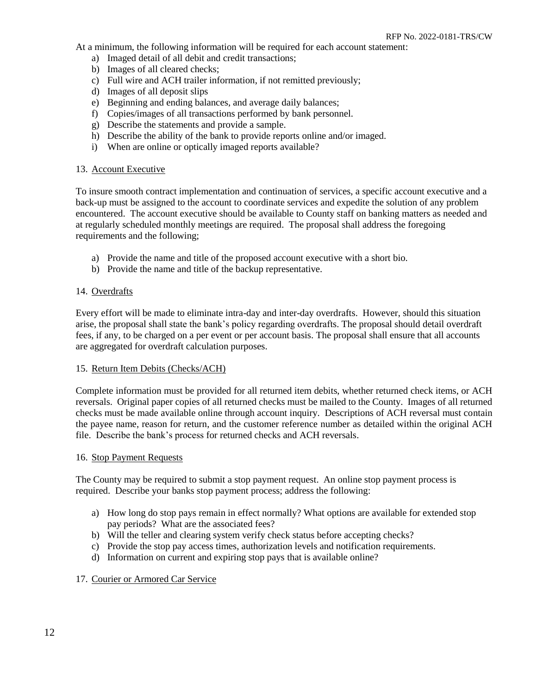At a minimum, the following information will be required for each account statement:

- a) Imaged detail of all debit and credit transactions;
- b) Images of all cleared checks;
- c) Full wire and ACH trailer information, if not remitted previously;
- d) Images of all deposit slips
- e) Beginning and ending balances, and average daily balances;
- f) Copies/images of all transactions performed by bank personnel.
- g) Describe the statements and provide a sample.
- h) Describe the ability of the bank to provide reports online and/or imaged.
- i) When are online or optically imaged reports available?

## 13. Account Executive

To insure smooth contract implementation and continuation of services, a specific account executive and a back-up must be assigned to the account to coordinate services and expedite the solution of any problem encountered. The account executive should be available to County staff on banking matters as needed and at regularly scheduled monthly meetings are required. The proposal shall address the foregoing requirements and the following;

- a) Provide the name and title of the proposed account executive with a short bio.
- b) Provide the name and title of the backup representative.

# 14. Overdrafts

Every effort will be made to eliminate intra-day and inter-day overdrafts. However, should this situation arise, the proposal shall state the bank's policy regarding overdrafts. The proposal should detail overdraft fees, if any, to be charged on a per event or per account basis. The proposal shall ensure that all accounts are aggregated for overdraft calculation purposes.

## 15. Return Item Debits (Checks/ACH)

Complete information must be provided for all returned item debits, whether returned check items, or ACH reversals. Original paper copies of all returned checks must be mailed to the County. Images of all returned checks must be made available online through account inquiry. Descriptions of ACH reversal must contain the payee name, reason for return, and the customer reference number as detailed within the original ACH file. Describe the bank's process for returned checks and ACH reversals.

## 16. Stop Payment Requests

The County may be required to submit a stop payment request. An online stop payment process is required. Describe your banks stop payment process; address the following:

- a) How long do stop pays remain in effect normally? What options are available for extended stop pay periods? What are the associated fees?
- b) Will the teller and clearing system verify check status before accepting checks?
- c) Provide the stop pay access times, authorization levels and notification requirements.
- d) Information on current and expiring stop pays that is available online?

## 17. Courier or Armored Car Service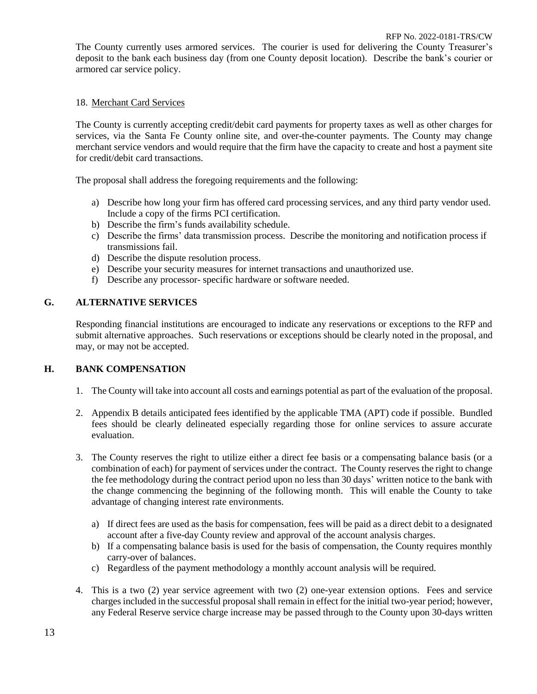The County currently uses armored services. The courier is used for delivering the County Treasurer's deposit to the bank each business day (from one County deposit location). Describe the bank's courier or armored car service policy.

## 18. Merchant Card Services

The County is currently accepting credit/debit card payments for property taxes as well as other charges for services, via the Santa Fe County online site, and over-the-counter payments. The County may change merchant service vendors and would require that the firm have the capacity to create and host a payment site for credit/debit card transactions.

The proposal shall address the foregoing requirements and the following:

- a) Describe how long your firm has offered card processing services, and any third party vendor used. Include a copy of the firms PCI certification.
- b) Describe the firm's funds availability schedule.
- c) Describe the firms' data transmission process. Describe the monitoring and notification process if transmissions fail.
- d) Describe the dispute resolution process.
- e) Describe your security measures for internet transactions and unauthorized use.
- f) Describe any processor- specific hardware or software needed.

# **G. ALTERNATIVE SERVICES**

Responding financial institutions are encouraged to indicate any reservations or exceptions to the RFP and submit alternative approaches. Such reservations or exceptions should be clearly noted in the proposal, and may, or may not be accepted.

# **H. BANK COMPENSATION**

- 1. The County will take into account all costs and earnings potential as part of the evaluation of the proposal.
- 2. Appendix B details anticipated fees identified by the applicable TMA (APT) code if possible. Bundled fees should be clearly delineated especially regarding those for online services to assure accurate evaluation.
- 3. The County reserves the right to utilize either a direct fee basis or a compensating balance basis (or a combination of each) for payment of services under the contract. The County reserves the right to change the fee methodology during the contract period upon no less than 30 days' written notice to the bank with the change commencing the beginning of the following month. This will enable the County to take advantage of changing interest rate environments.
	- a) If direct fees are used as the basis for compensation, fees will be paid as a direct debit to a designated account after a five-day County review and approval of the account analysis charges.
	- b) If a compensating balance basis is used for the basis of compensation, the County requires monthly carry-over of balances.
	- c) Regardless of the payment methodology a monthly account analysis will be required.
- 4. This is a two (2) year service agreement with two (2) one-year extension options. Fees and service charges included in the successful proposal shall remain in effect for the initial two-year period; however, any Federal Reserve service charge increase may be passed through to the County upon 30-days written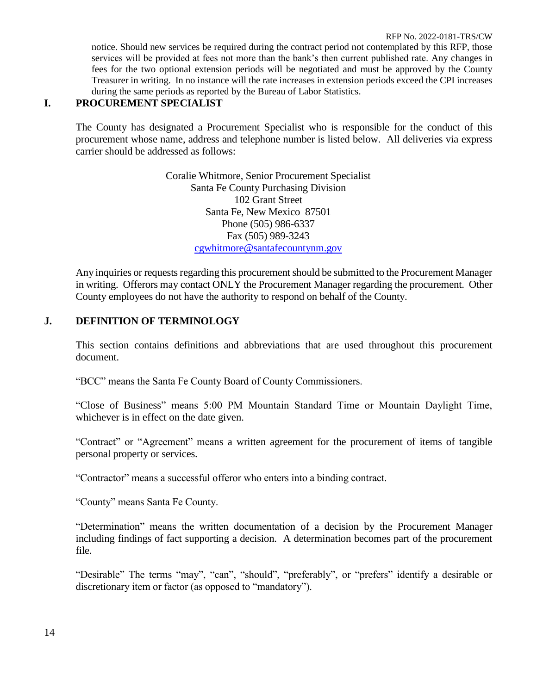notice. Should new services be required during the contract period not contemplated by this RFP, those services will be provided at fees not more than the bank's then current published rate. Any changes in fees for the two optional extension periods will be negotiated and must be approved by the County Treasurer in writing. In no instance will the rate increases in extension periods exceed the CPI increases during the same periods as reported by the Bureau of Labor Statistics.

# **I. PROCUREMENT SPECIALIST**

The County has designated a Procurement Specialist who is responsible for the conduct of this procurement whose name, address and telephone number is listed below. All deliveries via express carrier should be addressed as follows:

> Coralie Whitmore, Senior Procurement Specialist Santa Fe County Purchasing Division 102 Grant Street Santa Fe, New Mexico 87501 Phone (505) 986-6337 Fax (505) 989-3243 cgwhitmore@santafecountynm.gov

Any inquiries or requests regarding this procurement should be submitted to the Procurement Manager in writing. Offerors may contact ONLY the Procurement Manager regarding the procurement. Other County employees do not have the authority to respond on behalf of the County.

# **J. DEFINITION OF TERMINOLOGY**

This section contains definitions and abbreviations that are used throughout this procurement document.

"BCC" means the Santa Fe County Board of County Commissioners.

"Close of Business" means 5:00 PM Mountain Standard Time or Mountain Daylight Time, whichever is in effect on the date given.

"Contract" or "Agreement" means a written agreement for the procurement of items of tangible personal property or services.

"Contractor" means a successful offeror who enters into a binding contract.

"County" means Santa Fe County.

"Determination" means the written documentation of a decision by the Procurement Manager including findings of fact supporting a decision. A determination becomes part of the procurement file.

"Desirable" The terms "may", "can", "should", "preferably", or "prefers" identify a desirable or discretionary item or factor (as opposed to "mandatory").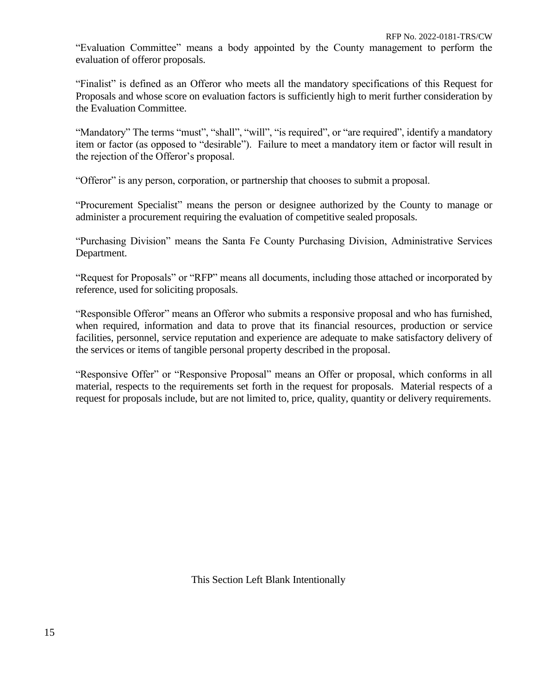"Evaluation Committee" means a body appointed by the County management to perform the evaluation of offeror proposals.

"Finalist" is defined as an Offeror who meets all the mandatory specifications of this Request for Proposals and whose score on evaluation factors is sufficiently high to merit further consideration by the Evaluation Committee.

"Mandatory" The terms "must", "shall", "will", "is required", or "are required", identify a mandatory item or factor (as opposed to "desirable"). Failure to meet a mandatory item or factor will result in the rejection of the Offeror's proposal.

"Offeror" is any person, corporation, or partnership that chooses to submit a proposal.

"Procurement Specialist" means the person or designee authorized by the County to manage or administer a procurement requiring the evaluation of competitive sealed proposals.

"Purchasing Division" means the Santa Fe County Purchasing Division, Administrative Services Department.

"Request for Proposals" or "RFP" means all documents, including those attached or incorporated by reference, used for soliciting proposals.

"Responsible Offeror" means an Offeror who submits a responsive proposal and who has furnished, when required, information and data to prove that its financial resources, production or service facilities, personnel, service reputation and experience are adequate to make satisfactory delivery of the services or items of tangible personal property described in the proposal.

"Responsive Offer" or "Responsive Proposal" means an Offer or proposal, which conforms in all material, respects to the requirements set forth in the request for proposals. Material respects of a request for proposals include, but are not limited to, price, quality, quantity or delivery requirements.

This Section Left Blank Intentionally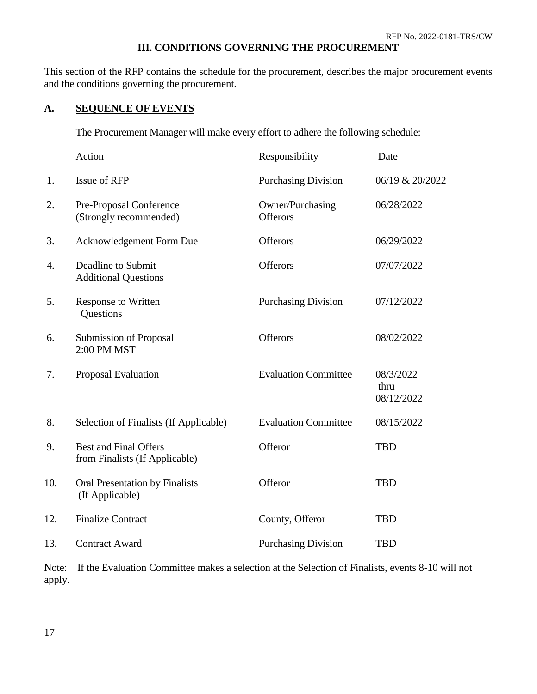# **III. CONDITIONS GOVERNING THE PROCUREMENT**

This section of the RFP contains the schedule for the procurement, describes the major procurement events and the conditions governing the procurement.

# **A. SEQUENCE OF EVENTS**

The Procurement Manager will make every effort to adhere the following schedule:

|     | <b>Action</b>                                                  | Responsibility               | Date                            |
|-----|----------------------------------------------------------------|------------------------------|---------------------------------|
| 1.  | Issue of RFP                                                   | <b>Purchasing Division</b>   | 06/19 & 20/2022                 |
| 2.  | Pre-Proposal Conference<br>(Strongly recommended)              | Owner/Purchasing<br>Offerors | 06/28/2022                      |
| 3.  | Acknowledgement Form Due                                       | <b>Offerors</b>              | 06/29/2022                      |
| 4.  | Deadline to Submit<br><b>Additional Questions</b>              | Offerors                     | 07/07/2022                      |
| 5.  | <b>Response to Written</b><br>Questions                        | <b>Purchasing Division</b>   | 07/12/2022                      |
| 6.  | Submission of Proposal<br>2:00 PM MST                          | <b>Offerors</b>              | 08/02/2022                      |
| 7.  | Proposal Evaluation                                            | <b>Evaluation Committee</b>  | 08/3/2022<br>thru<br>08/12/2022 |
| 8.  | Selection of Finalists (If Applicable)                         | <b>Evaluation Committee</b>  | 08/15/2022                      |
| 9.  | <b>Best and Final Offers</b><br>from Finalists (If Applicable) | Offeror                      | <b>TBD</b>                      |
| 10. | Oral Presentation by Finalists<br>(If Applicable)              | Offeror                      | <b>TBD</b>                      |
| 12. | <b>Finalize Contract</b>                                       | County, Offeror              | <b>TBD</b>                      |
| 13. | <b>Contract Award</b>                                          | <b>Purchasing Division</b>   | <b>TBD</b>                      |

Note: If the Evaluation Committee makes a selection at the Selection of Finalists, events 8-10 will not apply.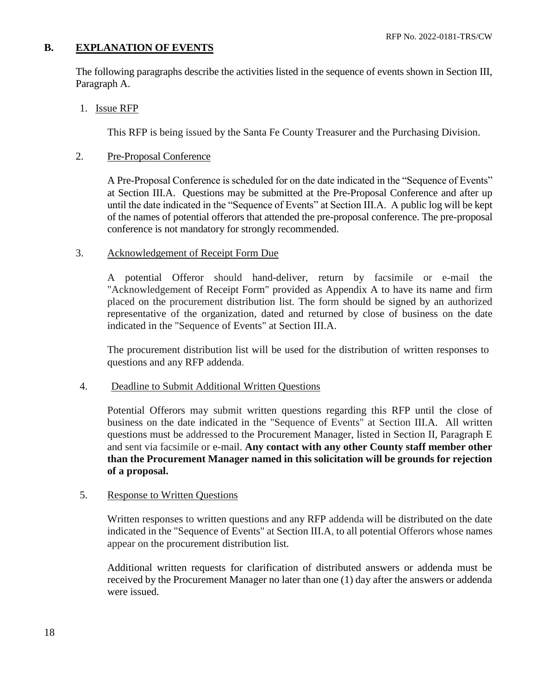# **B. EXPLANATION OF EVENTS**

The following paragraphs describe the activities listed in the sequence of events shown in Section III, Paragraph A.

1. Issue RFP

This RFP is being issued by the Santa Fe County Treasurer and the Purchasing Division.

# 2. Pre-Proposal Conference

A Pre-Proposal Conference is scheduled for on the date indicated in the "Sequence of Events" at Section III.A. Questions may be submitted at the Pre-Proposal Conference and after up until the date indicated in the "Sequence of Events" at Section III.A. A public log will be kept of the names of potential offerors that attended the pre-proposal conference. The pre-proposal conference is not mandatory for strongly recommended.

# 3. Acknowledgement of Receipt Form Due

A potential Offeror should hand-deliver, return by facsimile or e-mail the "Acknowledgement of Receipt Form" provided as Appendix A to have its name and firm placed on the procurement distribution list. The form should be signed by an authorized representative of the organization, dated and returned by close of business on the date indicated in the "Sequence of Events" at Section III.A.

The procurement distribution list will be used for the distribution of written responses to questions and any RFP addenda.

# 4. Deadline to Submit Additional Written Questions

Potential Offerors may submit written questions regarding this RFP until the close of business on the date indicated in the "Sequence of Events" at Section III.A. All written questions must be addressed to the Procurement Manager, listed in Section II, Paragraph E and sent via facsimile or e-mail. **Any contact with any other County staff member other than the Procurement Manager named in this solicitation will be grounds for rejection of a proposal.**

# 5. Response to Written Questions

Written responses to written questions and any RFP addenda will be distributed on the date indicated in the "Sequence of Events" at Section III.A, to all potential Offerors whose names appear on the procurement distribution list.

Additional written requests for clarification of distributed answers or addenda must be received by the Procurement Manager no later than one (1) day after the answers or addenda were issued.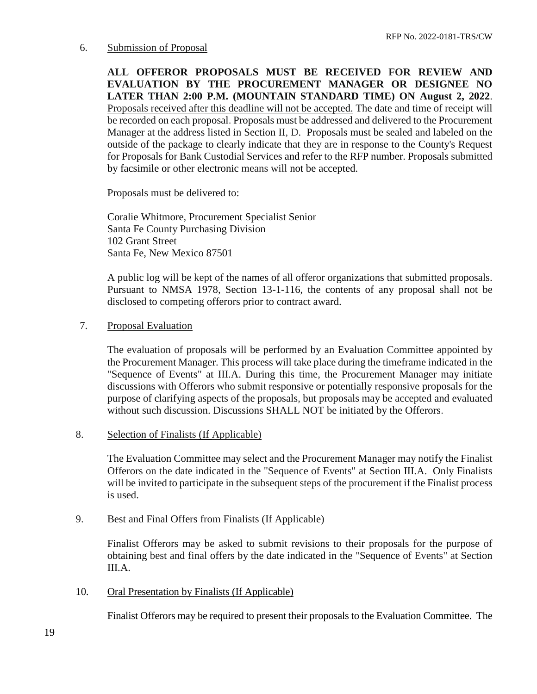# 6. Submission of Proposal

**ALL OFFEROR PROPOSALS MUST BE RECEIVED FOR REVIEW AND EVALUATION BY THE PROCUREMENT MANAGER OR DESIGNEE NO LATER THAN 2:00 P.M. (MOUNTAIN STANDARD TIME) ON August 2, 2022**. Proposals received after this deadline will not be accepted. The date and time of receipt will be recorded on each proposal. Proposals must be addressed and delivered to the Procurement Manager at the address listed in Section II, D. Proposals must be sealed and labeled on the outside of the package to clearly indicate that they are in response to the County's Request for Proposals for Bank Custodial Services and refer to the RFP number. Proposals submitted by facsimile or other electronic means will not be accepted.

Proposals must be delivered to:

Coralie Whitmore, Procurement Specialist Senior Santa Fe County Purchasing Division 102 Grant Street Santa Fe, New Mexico 87501

A public log will be kept of the names of all offeror organizations that submitted proposals. Pursuant to NMSA 1978, Section 13-1-116, the contents of any proposal shall not be disclosed to competing offerors prior to contract award.

# 7. Proposal Evaluation

The evaluation of proposals will be performed by an Evaluation Committee appointed by the Procurement Manager. This process will take place during the timeframe indicated in the "Sequence of Events" at III.A. During this time, the Procurement Manager may initiate discussions with Offerors who submit responsive or potentially responsive proposals for the purpose of clarifying aspects of the proposals, but proposals may be accepted and evaluated without such discussion. Discussions SHALL NOT be initiated by the Offerors.

## 8. Selection of Finalists (If Applicable)

The Evaluation Committee may select and the Procurement Manager may notify the Finalist Offerors on the date indicated in the "Sequence of Events" at Section III.A. Only Finalists will be invited to participate in the subsequent steps of the procurement if the Finalist process is used.

## 9. Best and Final Offers from Finalists (If Applicable)

Finalist Offerors may be asked to submit revisions to their proposals for the purpose of obtaining best and final offers by the date indicated in the "Sequence of Events" at Section III.A.

10. Oral Presentation by Finalists (If Applicable)

Finalist Offerors may be required to present their proposals to the Evaluation Committee. The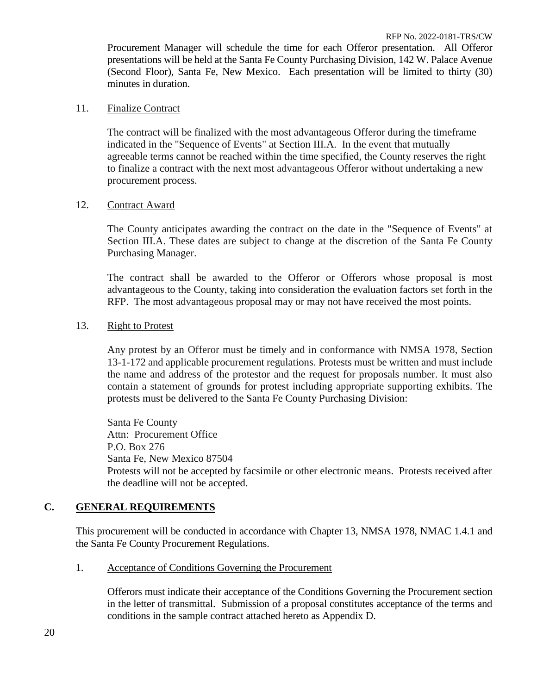Procurement Manager will schedule the time for each Offeror presentation. All Offeror presentations will be held at the Santa Fe County Purchasing Division, 142 W. Palace Avenue (Second Floor), Santa Fe, New Mexico. Each presentation will be limited to thirty (30) minutes in duration.

# 11. Finalize Contract

The contract will be finalized with the most advantageous Offeror during the timeframe indicated in the "Sequence of Events" at Section III.A. In the event that mutually agreeable terms cannot be reached within the time specified, the County reserves the right to finalize a contract with the next most advantageous Offeror without undertaking a new procurement process.

# 12. Contract Award

The County anticipates awarding the contract on the date in the "Sequence of Events" at Section III.A. These dates are subject to change at the discretion of the Santa Fe County Purchasing Manager.

The contract shall be awarded to the Offeror or Offerors whose proposal is most advantageous to the County, taking into consideration the evaluation factors set forth in the RFP. The most advantageous proposal may or may not have received the most points.

# 13. Right to Protest

Any protest by an Offeror must be timely and in conformance with NMSA 1978, Section 13-1-172 and applicable procurement regulations. Protests must be written and must include the name and address of the protestor and the request for proposals number. It must also contain a statement of grounds for protest including appropriate supporting exhibits. The protests must be delivered to the Santa Fe County Purchasing Division:

Santa Fe County Attn: Procurement Office P.O. Box 276 Santa Fe, New Mexico 87504 Protests will not be accepted by facsimile or other electronic means. Protests received after the deadline will not be accepted.

# **C. GENERAL REQUIREMENTS**

This procurement will be conducted in accordance with Chapter 13, NMSA 1978, NMAC 1.4.1 and the Santa Fe County Procurement Regulations.

1. Acceptance of Conditions Governing the Procurement

Offerors must indicate their acceptance of the Conditions Governing the Procurement section in the letter of transmittal. Submission of a proposal constitutes acceptance of the terms and conditions in the sample contract attached hereto as Appendix D.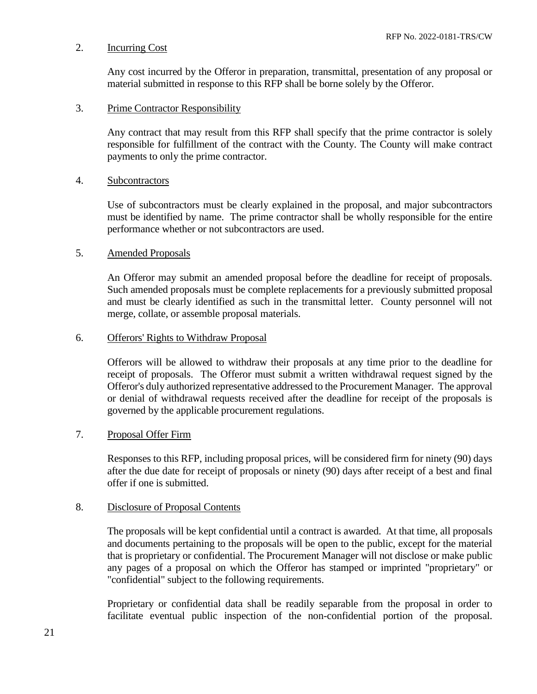# 2. Incurring Cost

Any cost incurred by the Offeror in preparation, transmittal, presentation of any proposal or material submitted in response to this RFP shall be borne solely by the Offeror.

# 3. Prime Contractor Responsibility

Any contract that may result from this RFP shall specify that the prime contractor is solely responsible for fulfillment of the contract with the County. The County will make contract payments to only the prime contractor.

# 4. Subcontractors

Use of subcontractors must be clearly explained in the proposal, and major subcontractors must be identified by name. The prime contractor shall be wholly responsible for the entire performance whether or not subcontractors are used.

# 5. Amended Proposals

An Offeror may submit an amended proposal before the deadline for receipt of proposals. Such amended proposals must be complete replacements for a previously submitted proposal and must be clearly identified as such in the transmittal letter. County personnel will not merge, collate, or assemble proposal materials.

# 6. Offerors' Rights to Withdraw Proposal

Offerors will be allowed to withdraw their proposals at any time prior to the deadline for receipt of proposals. The Offeror must submit a written withdrawal request signed by the Offeror's duly authorized representative addressed to the Procurement Manager. The approval or denial of withdrawal requests received after the deadline for receipt of the proposals is governed by the applicable procurement regulations.

## 7. Proposal Offer Firm

Responses to this RFP, including proposal prices, will be considered firm for ninety (90) days after the due date for receipt of proposals or ninety (90) days after receipt of a best and final offer if one is submitted.

## 8. Disclosure of Proposal Contents

The proposals will be kept confidential until a contract is awarded. At that time, all proposals and documents pertaining to the proposals will be open to the public, except for the material that is proprietary or confidential. The Procurement Manager will not disclose or make public any pages of a proposal on which the Offeror has stamped or imprinted "proprietary" or "confidential" subject to the following requirements.

Proprietary or confidential data shall be readily separable from the proposal in order to facilitate eventual public inspection of the non-confidential portion of the proposal.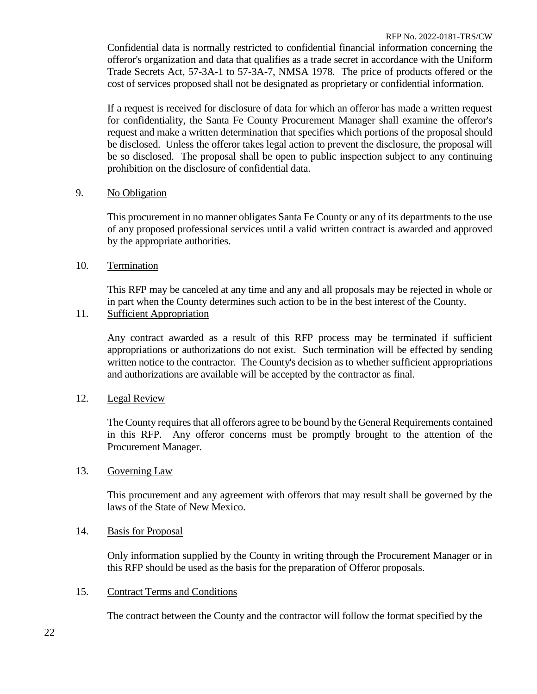Confidential data is normally restricted to confidential financial information concerning the offeror's organization and data that qualifies as a trade secret in accordance with the Uniform Trade Secrets Act, 57-3A-1 to 57-3A-7, NMSA 1978. The price of products offered or the cost of services proposed shall not be designated as proprietary or confidential information.

If a request is received for disclosure of data for which an offeror has made a written request for confidentiality, the Santa Fe County Procurement Manager shall examine the offeror's request and make a written determination that specifies which portions of the proposal should be disclosed. Unless the offeror takes legal action to prevent the disclosure, the proposal will be so disclosed. The proposal shall be open to public inspection subject to any continuing prohibition on the disclosure of confidential data.

# 9. No Obligation

This procurement in no manner obligates Santa Fe County or any of its departments to the use of any proposed professional services until a valid written contract is awarded and approved by the appropriate authorities.

10. Termination

This RFP may be canceled at any time and any and all proposals may be rejected in whole or in part when the County determines such action to be in the best interest of the County.

11. Sufficient Appropriation

Any contract awarded as a result of this RFP process may be terminated if sufficient appropriations or authorizations do not exist. Such termination will be effected by sending written notice to the contractor. The County's decision as to whether sufficient appropriations and authorizations are available will be accepted by the contractor as final.

# 12. Legal Review

The County requires that all offerors agree to be bound by the General Requirements contained in this RFP. Any offeror concerns must be promptly brought to the attention of the Procurement Manager.

## 13. Governing Law

This procurement and any agreement with offerors that may result shall be governed by the laws of the State of New Mexico.

# 14. Basis for Proposal

Only information supplied by the County in writing through the Procurement Manager or in this RFP should be used as the basis for the preparation of Offeror proposals.

15. Contract Terms and Conditions

The contract between the County and the contractor will follow the format specified by the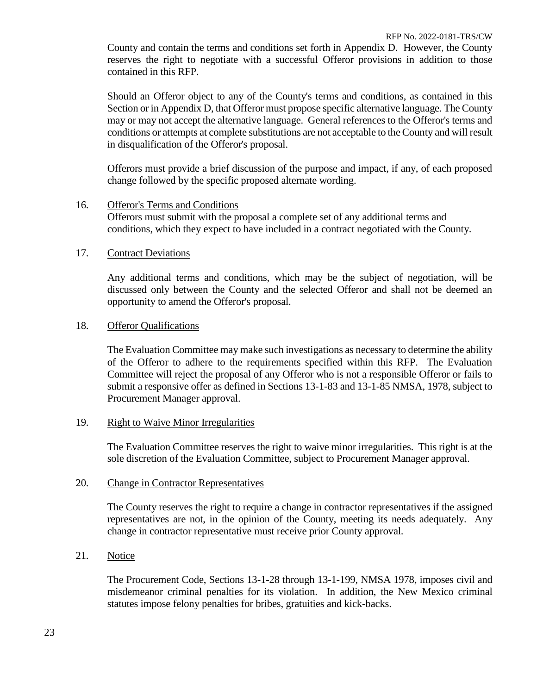County and contain the terms and conditions set forth in Appendix D. However, the County reserves the right to negotiate with a successful Offeror provisions in addition to those contained in this RFP.

Should an Offeror object to any of the County's terms and conditions, as contained in this Section or in Appendix D, that Offeror must propose specific alternative language. The County may or may not accept the alternative language. General references to the Offeror's terms and conditions or attempts at complete substitutions are not acceptable to the County and will result in disqualification of the Offeror's proposal.

Offerors must provide a brief discussion of the purpose and impact, if any, of each proposed change followed by the specific proposed alternate wording.

16. Offeror's Terms and Conditions Offerors must submit with the proposal a complete set of any additional terms and conditions, which they expect to have included in a contract negotiated with the County.

# 17. Contract Deviations

Any additional terms and conditions, which may be the subject of negotiation, will be discussed only between the County and the selected Offeror and shall not be deemed an opportunity to amend the Offeror's proposal.

# 18. Offeror Qualifications

The Evaluation Committee may make such investigations as necessary to determine the ability of the Offeror to adhere to the requirements specified within this RFP. The Evaluation Committee will reject the proposal of any Offeror who is not a responsible Offeror or fails to submit a responsive offer as defined in Sections 13-1-83 and 13-1-85 NMSA, 1978, subject to Procurement Manager approval.

## 19. Right to Waive Minor Irregularities

The Evaluation Committee reserves the right to waive minor irregularities. This right is at the sole discretion of the Evaluation Committee, subject to Procurement Manager approval.

## 20. Change in Contractor Representatives

The County reserves the right to require a change in contractor representatives if the assigned representatives are not, in the opinion of the County, meeting its needs adequately. Any change in contractor representative must receive prior County approval.

21. Notice

The Procurement Code, Sections 13-1-28 through 13-1-199, NMSA 1978, imposes civil and misdemeanor criminal penalties for its violation. In addition, the New Mexico criminal statutes impose felony penalties for bribes, gratuities and kick-backs.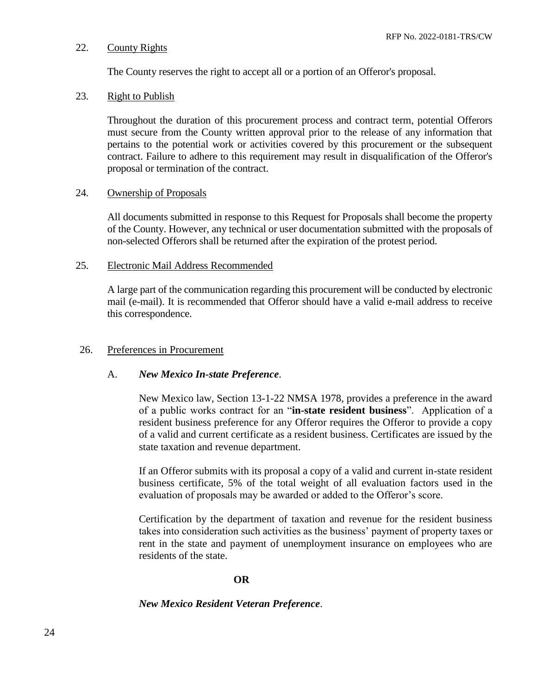# 22. County Rights

The County reserves the right to accept all or a portion of an Offeror's proposal.

# 23. Right to Publish

Throughout the duration of this procurement process and contract term, potential Offerors must secure from the County written approval prior to the release of any information that pertains to the potential work or activities covered by this procurement or the subsequent contract. Failure to adhere to this requirement may result in disqualification of the Offeror's proposal or termination of the contract.

# 24. Ownership of Proposals

All documents submitted in response to this Request for Proposals shall become the property of the County. However, any technical or user documentation submitted with the proposals of non-selected Offerors shall be returned after the expiration of the protest period.

# 25. Electronic Mail Address Recommended

A large part of the communication regarding this procurement will be conducted by electronic mail (e-mail). It is recommended that Offeror should have a valid e-mail address to receive this correspondence.

# 26. Preferences in Procurement

# A. *New Mexico In-state Preference*.

New Mexico law, Section 13-1-22 NMSA 1978, provides a preference in the award of a public works contract for an "**in-state resident business**". Application of a resident business preference for any Offeror requires the Offeror to provide a copy of a valid and current certificate as a resident business. Certificates are issued by the state taxation and revenue department.

If an Offeror submits with its proposal a copy of a valid and current in-state resident business certificate, 5% of the total weight of all evaluation factors used in the evaluation of proposals may be awarded or added to the Offeror's score.

Certification by the department of taxation and revenue for the resident business takes into consideration such activities as the business' payment of property taxes or rent in the state and payment of unemployment insurance on employees who are residents of the state.

# **OR**

# *New Mexico Resident Veteran Preference*.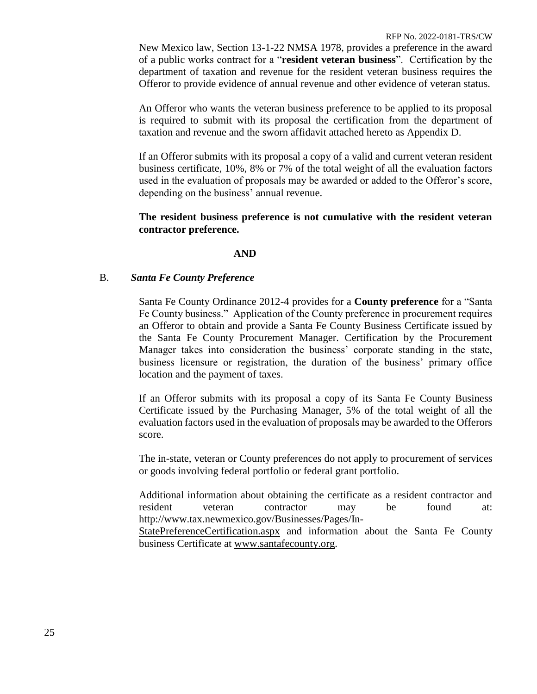New Mexico law, Section 13-1-22 NMSA 1978, provides a preference in the award of a public works contract for a "**resident veteran business**". Certification by the department of taxation and revenue for the resident veteran business requires the Offeror to provide evidence of annual revenue and other evidence of veteran status.

An Offeror who wants the veteran business preference to be applied to its proposal is required to submit with its proposal the certification from the department of taxation and revenue and the sworn affidavit attached hereto as Appendix D.

If an Offeror submits with its proposal a copy of a valid and current veteran resident business certificate, 10%, 8% or 7% of the total weight of all the evaluation factors used in the evaluation of proposals may be awarded or added to the Offeror's score, depending on the business' annual revenue.

# **The resident business preference is not cumulative with the resident veteran contractor preference.**

# **AND**

# B. *Santa Fe County Preference*

Santa Fe County Ordinance 2012-4 provides for a **County preference** for a "Santa Fe County business." Application of the County preference in procurement requires an Offeror to obtain and provide a Santa Fe County Business Certificate issued by the Santa Fe County Procurement Manager. Certification by the Procurement Manager takes into consideration the business' corporate standing in the state, business licensure or registration, the duration of the business' primary office location and the payment of taxes.

If an Offeror submits with its proposal a copy of its Santa Fe County Business Certificate issued by the Purchasing Manager, 5% of the total weight of all the evaluation factors used in the evaluation of proposals may be awarded to the Offerors score.

The in-state, veteran or County preferences do not apply to procurement of services or goods involving federal portfolio or federal grant portfolio.

Additional information about obtaining the certificate as a resident contractor and resident veteran contractor may be found at: http://www.tax.newmexico.gov/Businesses/Pages/In-

StatePreferenceCertification.aspx and information about the Santa Fe County business Certificate at www.santafecounty.org.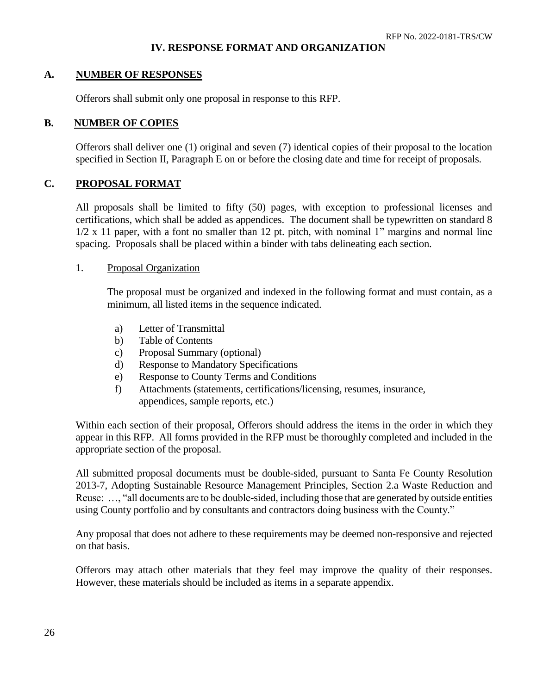# **IV. RESPONSE FORMAT AND ORGANIZATION**

# **A. NUMBER OF RESPONSES**

Offerors shall submit only one proposal in response to this RFP.

# **B. NUMBER OF COPIES**

Offerors shall deliver one (1) original and seven (7) identical copies of their proposal to the location specified in Section II, Paragraph E on or before the closing date and time for receipt of proposals.

# **C. PROPOSAL FORMAT**

All proposals shall be limited to fifty (50) pages, with exception to professional licenses and certifications, which shall be added as appendices. The document shall be typewritten on standard 8 1/2 x 11 paper, with a font no smaller than 12 pt. pitch, with nominal 1" margins and normal line spacing. Proposals shall be placed within a binder with tabs delineating each section.

## 1. Proposal Organization

The proposal must be organized and indexed in the following format and must contain, as a minimum, all listed items in the sequence indicated.

- a) Letter of Transmittal
- b) Table of Contents
- c) Proposal Summary (optional)
- d) Response to Mandatory Specifications
- e) Response to County Terms and Conditions
- f) Attachments (statements, certifications/licensing, resumes, insurance, appendices, sample reports, etc.)

Within each section of their proposal, Offerors should address the items in the order in which they appear in this RFP. All forms provided in the RFP must be thoroughly completed and included in the appropriate section of the proposal.

All submitted proposal documents must be double-sided, pursuant to Santa Fe County Resolution 2013-7, Adopting Sustainable Resource Management Principles, Section 2.a Waste Reduction and Reuse: …, "all documents are to be double-sided, including those that are generated by outside entities using County portfolio and by consultants and contractors doing business with the County."

Any proposal that does not adhere to these requirements may be deemed non-responsive and rejected on that basis.

Offerors may attach other materials that they feel may improve the quality of their responses. However, these materials should be included as items in a separate appendix.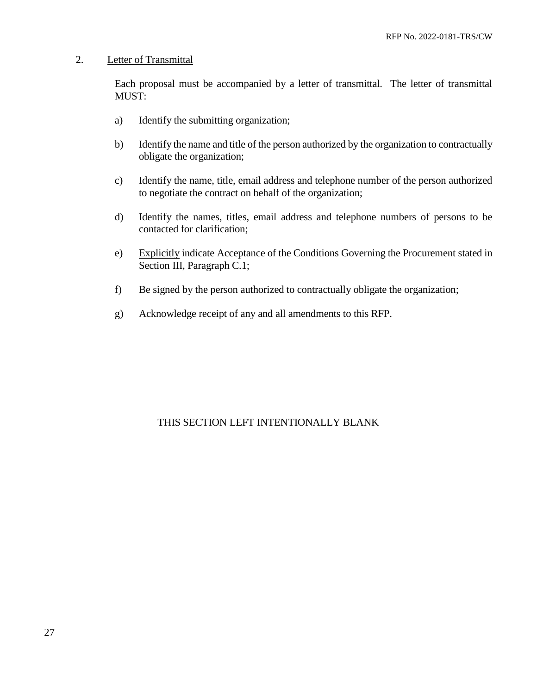# 2. Letter of Transmittal

Each proposal must be accompanied by a letter of transmittal. The letter of transmittal MUST:

- a) Identify the submitting organization;
- b) Identify the name and title of the person authorized by the organization to contractually obligate the organization;
- c) Identify the name, title, email address and telephone number of the person authorized to negotiate the contract on behalf of the organization;
- d) Identify the names, titles, email address and telephone numbers of persons to be contacted for clarification;
- e) Explicitly indicate Acceptance of the Conditions Governing the Procurement stated in Section III, Paragraph C.1;
- f) Be signed by the person authorized to contractually obligate the organization;
- g) Acknowledge receipt of any and all amendments to this RFP.

# THIS SECTION LEFT INTENTIONALLY BLANK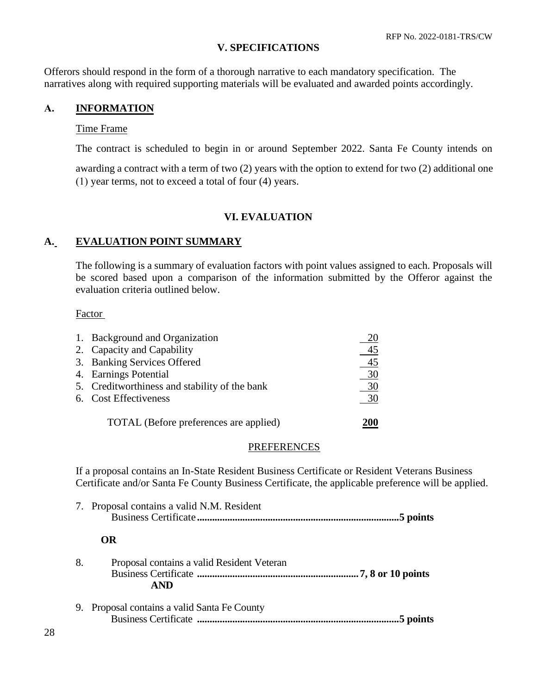# **V. SPECIFICATIONS**

Offerors should respond in the form of a thorough narrative to each mandatory specification. The narratives along with required supporting materials will be evaluated and awarded points accordingly.

# **A. INFORMATION**

# Time Frame

The contract is scheduled to begin in or around September 2022. Santa Fe County intends on

awarding a contract with a term of two (2) years with the option to extend for two (2) additional one (1) year terms, not to exceed a total of four (4) years.

# **VI. EVALUATION**

# **A. EVALUATION POINT SUMMARY**

The following is a summary of evaluation factors with point values assigned to each. Proposals will be scored based upon a comparison of the information submitted by the Offeror against the evaluation criteria outlined below.

# Factor

| 1. Background and Organization                |                |
|-----------------------------------------------|----------------|
| 2. Capacity and Capability                    | 45             |
| 3. Banking Services Offered                   | $\frac{45}{2}$ |
| 4. Earnings Potential                         | $\frac{30}{2}$ |
| 5. Creditworthiness and stability of the bank | 30             |
| 6. Cost Effectiveness                         | 30             |
| TOTAL (Before preferences are applied)        |                |

## **PREFERENCES**

If a proposal contains an In-State Resident Business Certificate or Resident Veterans Business Certificate and/or Santa Fe County Business Certificate, the applicable preference will be applied.

|    | 7. Proposal contains a valid N.M. Resident               |
|----|----------------------------------------------------------|
|    | OR.                                                      |
| 8. | Proposal contains a valid Resident Veteran<br><b>AND</b> |
| 9. | Proposal contains a valid Santa Fe County<br>5 points    |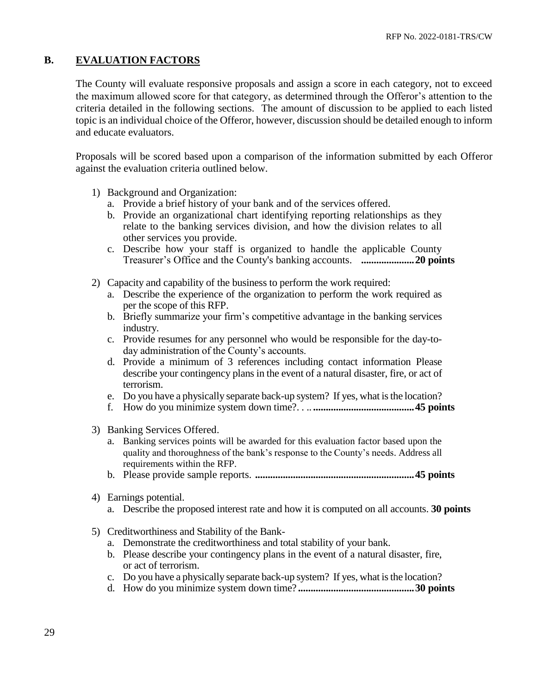# **B. EVALUATION FACTORS**

The County will evaluate responsive proposals and assign a score in each category, not to exceed the maximum allowed score for that category, as determined through the Offeror's attention to the criteria detailed in the following sections. The amount of discussion to be applied to each listed topic is an individual choice of the Offeror, however, discussion should be detailed enough to inform and educate evaluators.

Proposals will be scored based upon a comparison of the information submitted by each Offeror against the evaluation criteria outlined below.

- 1) Background and Organization:
	- a. Provide a brief history of your bank and of the services offered.
	- b. Provide an organizational chart identifying reporting relationships as they relate to the banking services division, and how the division relates to all other services you provide.
	- c. Describe how your staff is organized to handle the applicable County Treasurer's Office and the County's banking accounts. **.....................20 points**
- 2) Capacity and capability of the business to perform the work required:
	- a. Describe the experience of the organization to perform the work required as per the scope of this RFP.
	- b. Briefly summarize your firm's competitive advantage in the banking services industry.
	- c. Provide resumes for any personnel who would be responsible for the day-today administration of the County's accounts.
	- d. Provide a minimum of 3 references including contact information Please describe your contingency plans in the event of a natural disaster, fire, or act of terrorism.
	- e. Do you have a physically separate back-up system? If yes, what is the location?
	- f. How do you minimize system down time?. . .. **........................................45 points**
- 3) Banking Services Offered.
	- a. Banking services points will be awarded for this evaluation factor based upon the quality and thoroughness of the bank's response to the County's needs. Address all requirements within the RFP.
	- b. Please provide sample reports. **...............................................................45 points**
- 4) Earnings potential.
	- a. Describe the proposed interest rate and how it is computed on all accounts. **30 points**
- 5) Creditworthiness and Stability of the Bank
	- a. Demonstrate the creditworthiness and total stability of your bank.
	- b. Please describe your contingency plans in the event of a natural disaster, fire, or act of terrorism.
	- c. Do you have a physically separate back-up system? If yes, what is the location?
	- d. How do you minimize system down time? **..............................................30 points**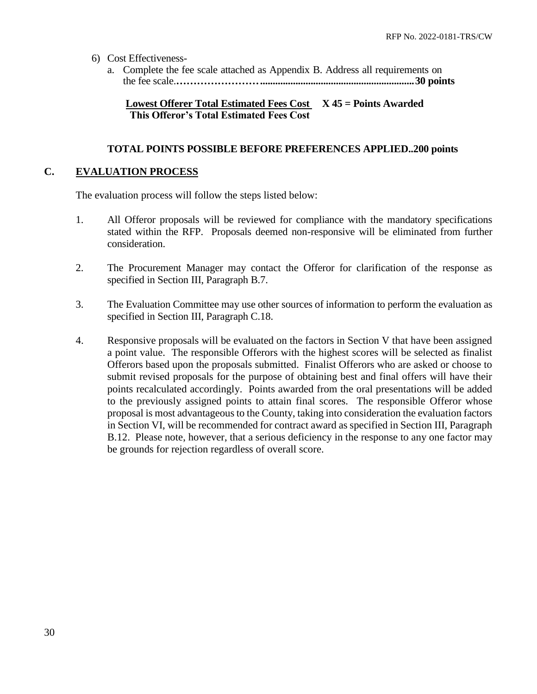- 6) Cost Effectiveness
	- a. Complete the fee scale attached as Appendix B. Address all requirements on the fee scale.**…………………….............................................................30 points**

# **Lowest Offerer Total Estimated Fees Cost X 45 = Points Awarded This Offeror's Total Estimated Fees Cost**

# **TOTAL POINTS POSSIBLE BEFORE PREFERENCES APPLIED..200 points**

# **C. EVALUATION PROCESS**

The evaluation process will follow the steps listed below:

- 1. All Offeror proposals will be reviewed for compliance with the mandatory specifications stated within the RFP. Proposals deemed non-responsive will be eliminated from further consideration.
- 2. The Procurement Manager may contact the Offeror for clarification of the response as specified in Section III, Paragraph B.7.
- 3. The Evaluation Committee may use other sources of information to perform the evaluation as specified in Section III, Paragraph C.18.
- 4. Responsive proposals will be evaluated on the factors in Section V that have been assigned a point value. The responsible Offerors with the highest scores will be selected as finalist Offerors based upon the proposals submitted. Finalist Offerors who are asked or choose to submit revised proposals for the purpose of obtaining best and final offers will have their points recalculated accordingly. Points awarded from the oral presentations will be added to the previously assigned points to attain final scores. The responsible Offeror whose proposal is most advantageous to the County, taking into consideration the evaluation factors in Section VI, will be recommended for contract award as specified in Section III, Paragraph B.12. Please note, however, that a serious deficiency in the response to any one factor may be grounds for rejection regardless of overall score.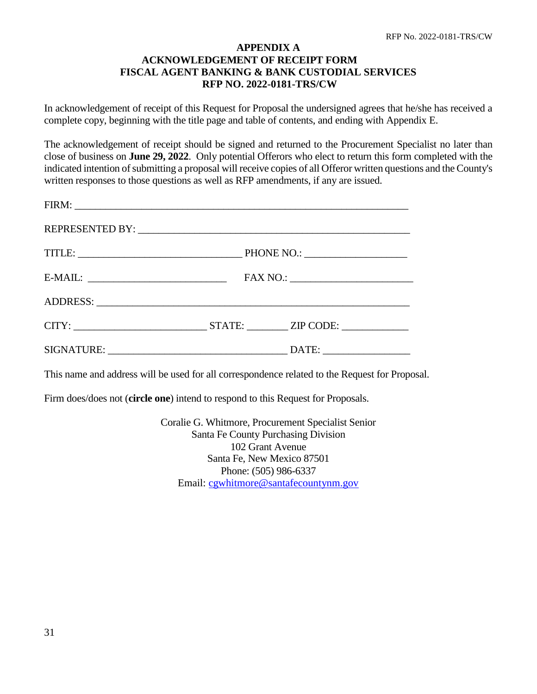# **APPENDIX A ACKNOWLEDGEMENT OF RECEIPT FORM FISCAL AGENT BANKING & BANK CUSTODIAL SERVICES RFP NO. 2022-0181-TRS/CW**

In acknowledgement of receipt of this Request for Proposal the undersigned agrees that he/she has received a complete copy, beginning with the title page and table of contents, and ending with Appendix E.

The acknowledgement of receipt should be signed and returned to the Procurement Specialist no later than close of business on **June 29, 2022**. Only potential Offerors who elect to return this form completed with the indicated intention of submitting a proposal will receive copies of all Offeror written questions and the County's written responses to those questions as well as RFP amendments, if any are issued.

| $E-MAIL:$ |                        |
|-----------|------------------------|
|           |                        |
|           | CITY: STATE: ZIP CODE: |
|           |                        |

This name and address will be used for all correspondence related to the Request for Proposal.

Firm does/does not (**circle one**) intend to respond to this Request for Proposals.

Coralie G. Whitmore, Procurement Specialist Senior Santa Fe County Purchasing Division 102 Grant Avenue Santa Fe, New Mexico 87501 Phone: (505) 986-6337 Email: [cgwhitmore@santafecountynm.gov](mailto:cgwhitmore@santafecountynm.gov)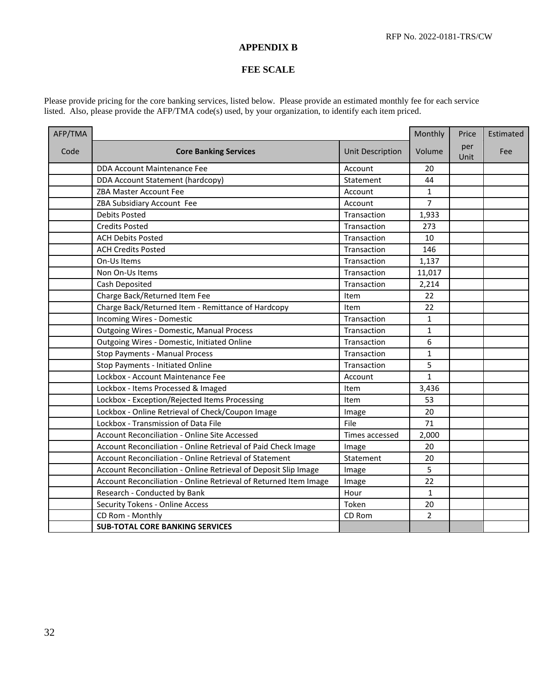## **APPENDIX B**

## **FEE SCALE**

Please provide pricing for the core banking services, listed below. Please provide an estimated monthly fee for each service listed. Also, please provide the AFP/TMA code(s) used, by your organization, to identify each item priced.

| AFP/TMA |                                                                  |                         | Monthly        | Price       | Estimated |
|---------|------------------------------------------------------------------|-------------------------|----------------|-------------|-----------|
| Code    | <b>Core Banking Services</b>                                     | <b>Unit Description</b> | Volume         | per<br>Unit | Fee       |
|         | DDA Account Maintenance Fee                                      | Account                 | 20             |             |           |
|         | DDA Account Statement (hardcopy)                                 | Statement               | 44             |             |           |
|         | ZBA Master Account Fee                                           | Account                 | $\mathbf{1}$   |             |           |
|         | ZBA Subsidiary Account Fee                                       | Account                 | $\overline{7}$ |             |           |
|         | <b>Debits Posted</b>                                             | Transaction             | 1,933          |             |           |
|         | <b>Credits Posted</b>                                            | Transaction             | 273            |             |           |
|         | <b>ACH Debits Posted</b>                                         | Transaction             | 10             |             |           |
|         | <b>ACH Credits Posted</b>                                        | Transaction             | 146            |             |           |
|         | On-Us Items                                                      | Transaction             | 1,137          |             |           |
|         | Non On-Us Items                                                  | Transaction             | 11,017         |             |           |
|         | Cash Deposited                                                   | Transaction             | 2,214          |             |           |
|         | Charge Back/Returned Item Fee                                    | Item                    | 22             |             |           |
|         | Charge Back/Returned Item - Remittance of Hardcopy               | Item                    | 22             |             |           |
|         | Incoming Wires - Domestic                                        | Transaction             | $\mathbf{1}$   |             |           |
|         | <b>Outgoing Wires - Domestic, Manual Process</b>                 | Transaction             | $\mathbf{1}$   |             |           |
|         | Outgoing Wires - Domestic, Initiated Online                      | Transaction             | 6              |             |           |
|         | Stop Payments - Manual Process                                   | Transaction             | $\mathbf{1}$   |             |           |
|         | Stop Payments - Initiated Online                                 | Transaction             | 5              |             |           |
|         | Lockbox - Account Maintenance Fee                                | Account                 | $\mathbf{1}$   |             |           |
|         | Lockbox - Items Processed & Imaged                               | Item                    | 3,436          |             |           |
|         | Lockbox - Exception/Rejected Items Processing                    | Item                    | 53             |             |           |
|         | Lockbox - Online Retrieval of Check/Coupon Image                 | Image                   | 20             |             |           |
|         | Lockbox - Transmission of Data File                              | File                    | 71             |             |           |
|         | Account Reconciliation - Online Site Accessed                    | Times accessed          | 2,000          |             |           |
|         | Account Reconciliation - Online Retrieval of Paid Check Image    | Image                   | 20             |             |           |
|         | Account Reconciliation - Online Retrieval of Statement           | Statement               | 20             |             |           |
|         | Account Reconciliation - Online Retrieval of Deposit Slip Image  | Image                   | 5              |             |           |
|         | Account Reconciliation - Online Retrieval of Returned Item Image | Image                   | 22             |             |           |
|         | Research - Conducted by Bank                                     | Hour                    | $\mathbf{1}$   |             |           |
|         | <b>Security Tokens - Online Access</b>                           | Token                   | 20             |             |           |
|         | CD Rom - Monthly                                                 | CD Rom                  | $\overline{2}$ |             |           |
|         | <b>SUB-TOTAL CORE BANKING SERVICES</b>                           |                         |                |             |           |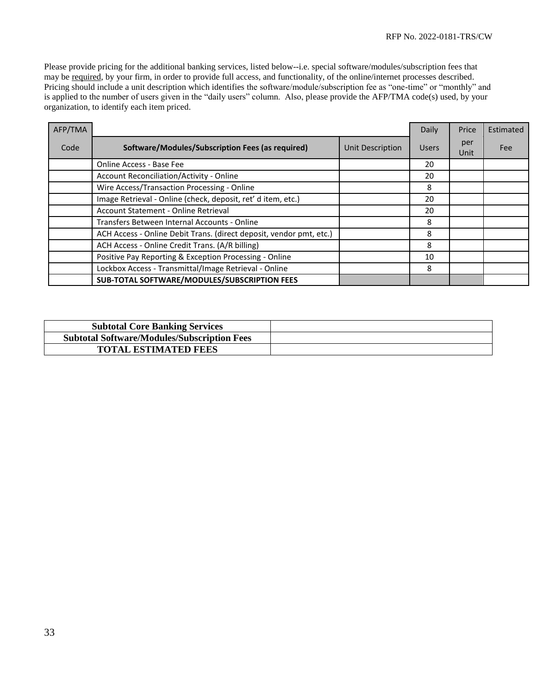Please provide pricing for the additional banking services, listed below--i.e. special software/modules/subscription fees that may be required, by your firm, in order to provide full access, and functionality, of the online/internet processes described. Pricing should include a unit description which identifies the software/module/subscription fee as "one-time" or "monthly" and is applied to the number of users given in the "daily users" column. Also, please provide the AFP/TMA code(s) used, by your organization, to identify each item priced.

| AFP/TMA |                                                                     |                         | Daily        | Price       | Estimated |
|---------|---------------------------------------------------------------------|-------------------------|--------------|-------------|-----------|
| Code    | Software/Modules/Subscription Fees (as required)                    | <b>Unit Description</b> | <b>Users</b> | per<br>Unit | Fee       |
|         | Online Access - Base Fee                                            |                         | 20           |             |           |
|         | <b>Account Reconciliation/Activity - Online</b>                     |                         | 20           |             |           |
|         | Wire Access/Transaction Processing - Online                         |                         | 8            |             |           |
|         | Image Retrieval - Online (check, deposit, ret' d item, etc.)        |                         | 20           |             |           |
|         | Account Statement - Online Retrieval                                |                         | 20           |             |           |
|         | Transfers Between Internal Accounts - Online                        |                         | 8            |             |           |
|         | ACH Access - Online Debit Trans. (direct deposit, vendor pmt, etc.) |                         | 8            |             |           |
|         | ACH Access - Online Credit Trans. (A/R billing)                     |                         | 8            |             |           |
|         | Positive Pay Reporting & Exception Processing - Online              |                         | 10           |             |           |
|         | Lockbox Access - Transmittal/Image Retrieval - Online               |                         | 8            |             |           |
|         | SUB-TOTAL SOFTWARE/MODULES/SUBSCRIPTION FEES                        |                         |              |             |           |

| <b>Subtotal Core Banking Services</b>              |  |
|----------------------------------------------------|--|
| <b>Subtotal Software/Modules/Subscription Fees</b> |  |
| <b>TOTAL ESTIMATED FEES</b>                        |  |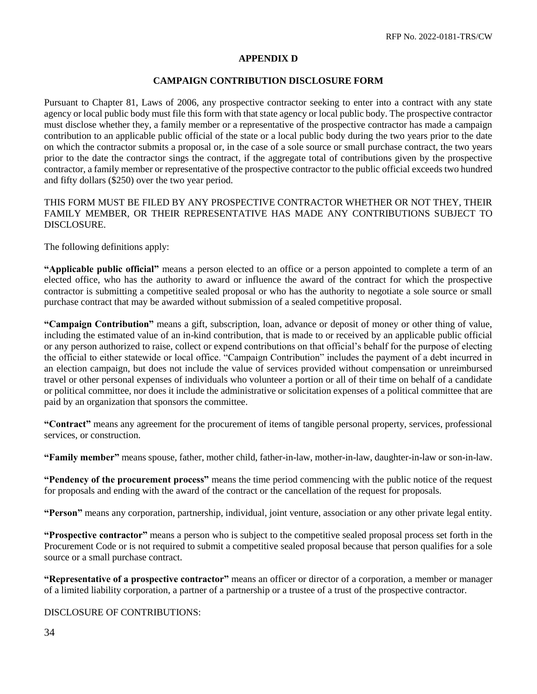# **APPENDIX D**

## **CAMPAIGN CONTRIBUTION DISCLOSURE FORM**

Pursuant to Chapter 81, Laws of 2006, any prospective contractor seeking to enter into a contract with any state agency or local public body must file this form with that state agency or local public body. The prospective contractor must disclose whether they, a family member or a representative of the prospective contractor has made a campaign contribution to an applicable public official of the state or a local public body during the two years prior to the date on which the contractor submits a proposal or, in the case of a sole source or small purchase contract, the two years prior to the date the contractor sings the contract, if the aggregate total of contributions given by the prospective contractor, a family member or representative of the prospective contractor to the public official exceeds two hundred and fifty dollars (\$250) over the two year period.

THIS FORM MUST BE FILED BY ANY PROSPECTIVE CONTRACTOR WHETHER OR NOT THEY, THEIR FAMILY MEMBER, OR THEIR REPRESENTATIVE HAS MADE ANY CONTRIBUTIONS SUBJECT TO DISCLOSURE.

The following definitions apply:

**"Applicable public official"** means a person elected to an office or a person appointed to complete a term of an elected office, who has the authority to award or influence the award of the contract for which the prospective contractor is submitting a competitive sealed proposal or who has the authority to negotiate a sole source or small purchase contract that may be awarded without submission of a sealed competitive proposal.

**"Campaign Contribution"** means a gift, subscription, loan, advance or deposit of money or other thing of value, including the estimated value of an in-kind contribution, that is made to or received by an applicable public official or any person authorized to raise, collect or expend contributions on that official's behalf for the purpose of electing the official to either statewide or local office. "Campaign Contribution" includes the payment of a debt incurred in an election campaign, but does not include the value of services provided without compensation or unreimbursed travel or other personal expenses of individuals who volunteer a portion or all of their time on behalf of a candidate or political committee, nor does it include the administrative or solicitation expenses of a political committee that are paid by an organization that sponsors the committee.

**"Contract"** means any agreement for the procurement of items of tangible personal property, services, professional services, or construction.

**"Family member"** means spouse, father, mother child, father-in-law, mother-in-law, daughter-in-law or son-in-law.

**"Pendency of the procurement process"** means the time period commencing with the public notice of the request for proposals and ending with the award of the contract or the cancellation of the request for proposals.

**"Person"** means any corporation, partnership, individual, joint venture, association or any other private legal entity.

**"Prospective contractor"** means a person who is subject to the competitive sealed proposal process set forth in the Procurement Code or is not required to submit a competitive sealed proposal because that person qualifies for a sole source or a small purchase contract.

**"Representative of a prospective contractor"** means an officer or director of a corporation, a member or manager of a limited liability corporation, a partner of a partnership or a trustee of a trust of the prospective contractor.

DISCLOSURE OF CONTRIBUTIONS: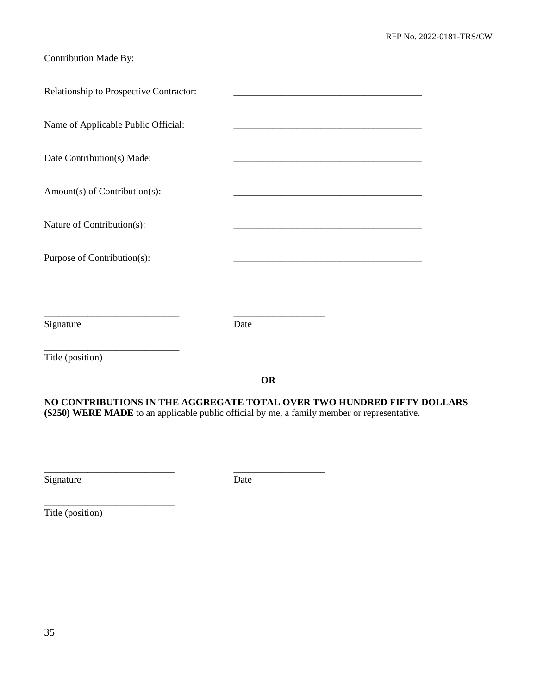| Contribution Made By:                   |                                                                                                                      |
|-----------------------------------------|----------------------------------------------------------------------------------------------------------------------|
| Relationship to Prospective Contractor: |                                                                                                                      |
| Name of Applicable Public Official:     |                                                                                                                      |
| Date Contribution(s) Made:              |                                                                                                                      |
| Amount(s) of Contribution(s):           |                                                                                                                      |
| Nature of Contribution(s):              |                                                                                                                      |
| Purpose of Contribution(s):             | <u> 1989 - Johann John Stone, market fan it ferstjer fan it ferstjer fan it ferstjer fan it ferstjer fan it fers</u> |
|                                         |                                                                                                                      |
| Signature                               | Date                                                                                                                 |
| Title (position)                        |                                                                                                                      |

**\_\_OR\_\_**

**NO CONTRIBUTIONS IN THE AGGREGATE TOTAL OVER TWO HUNDRED FIFTY DOLLARS (\$250) WERE MADE** to an applicable public official by me, a family member or representative.

Signature Date

\_\_\_\_\_\_\_\_\_\_\_\_\_\_\_\_\_\_\_\_\_\_\_\_\_\_\_ \_\_\_\_\_\_\_\_\_\_\_\_\_\_\_\_\_\_\_

Title (position)

\_\_\_\_\_\_\_\_\_\_\_\_\_\_\_\_\_\_\_\_\_\_\_\_\_\_\_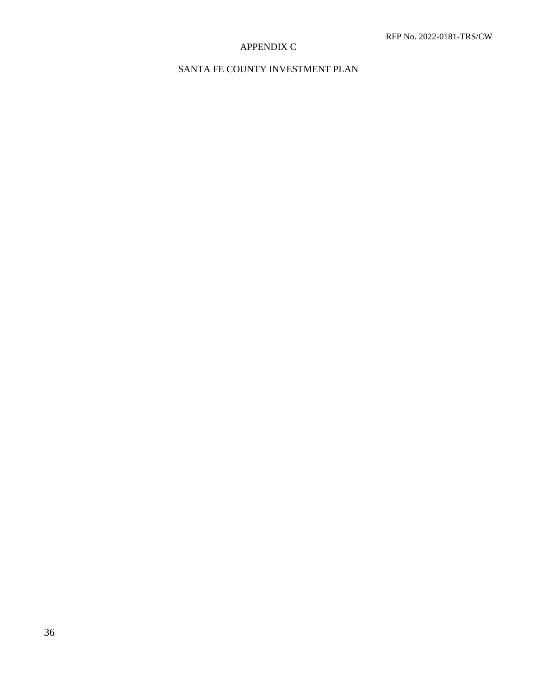# APPENDIX C

# SANTA FE COUNTY INVESTMENT PLAN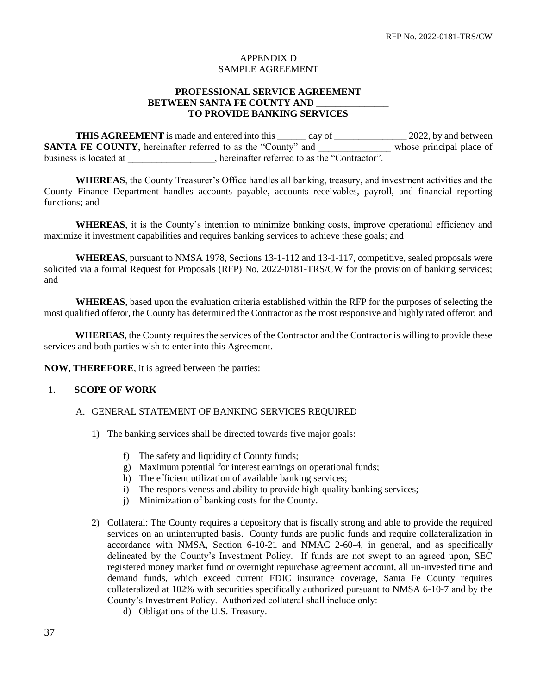## APPENDIX D SAMPLE AGREEMENT

## **PROFESSIONAL SERVICE AGREEMENT BETWEEN SANTA FE COUNTY AND TO PROVIDE BANKING SERVICES**

**THIS AGREEMENT** is made and entered into this \_\_\_\_\_\_ day of \_\_\_\_\_\_\_\_\_\_\_\_\_\_\_ 2022, by and between **SANTA FE COUNTY**, hereinafter referred to as the "County" and The subset principal place of business is located at  $\qquad \qquad$ , hereinafter referred to as the "Contractor".

**WHEREAS**, the County Treasurer's Office handles all banking, treasury, and investment activities and the County Finance Department handles accounts payable, accounts receivables, payroll, and financial reporting functions; and

**WHEREAS**, it is the County's intention to minimize banking costs, improve operational efficiency and maximize it investment capabilities and requires banking services to achieve these goals; and

**WHEREAS,** pursuant to NMSA 1978, Sections 13-1-112 and 13-1-117, competitive, sealed proposals were solicited via a formal Request for Proposals (RFP) No. 2022-0181-TRS/CW for the provision of banking services; and

**WHEREAS,** based upon the evaluation criteria established within the RFP for the purposes of selecting the most qualified offeror, the County has determined the Contractor as the most responsive and highly rated offeror; and

 **WHEREAS**, the County requires the services of the Contractor and the Contractor is willing to provide these services and both parties wish to enter into this Agreement.

**NOW, THEREFORE**, it is agreed between the parties:

### 1. **SCOPE OF WORK**

#### A. GENERAL STATEMENT OF BANKING SERVICES REQUIRED

- 1) The banking services shall be directed towards five major goals:
	- f) The safety and liquidity of County funds;
	- g) Maximum potential for interest earnings on operational funds;
	- h) The efficient utilization of available banking services;
	- i) The responsiveness and ability to provide high-quality banking services;
	- j) Minimization of banking costs for the County.
- 2) Collateral: The County requires a depository that is fiscally strong and able to provide the required services on an uninterrupted basis. County funds are public funds and require collateralization in accordance with NMSA, Section 6-10-21 and NMAC 2-60-4, in general, and as specifically delineated by the County's Investment Policy. If funds are not swept to an agreed upon, SEC registered money market fund or overnight repurchase agreement account, all un-invested time and demand funds, which exceed current FDIC insurance coverage, Santa Fe County requires collateralized at 102% with securities specifically authorized pursuant to NMSA 6-10-7 and by the County's Investment Policy. Authorized collateral shall include only:
	- d) Obligations of the U.S. Treasury.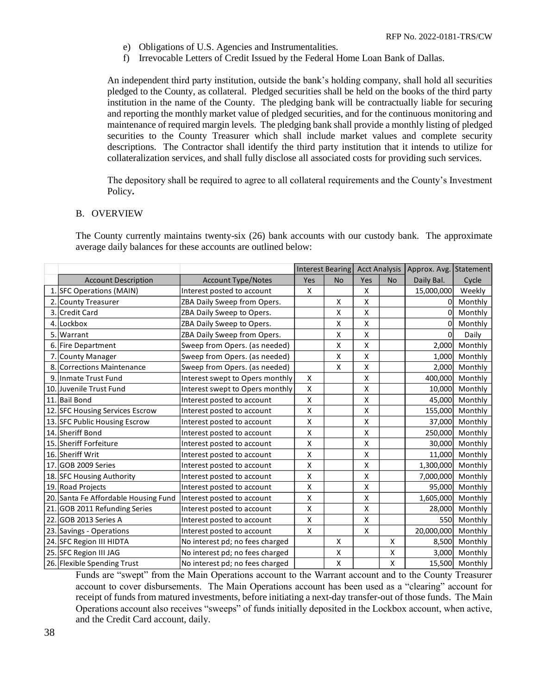- e) Obligations of U.S. Agencies and Instrumentalities.
- f) Irrevocable Letters of Credit Issued by the Federal Home Loan Bank of Dallas.

An independent third party institution, outside the bank's holding company, shall hold all securities pledged to the County, as collateral. Pledged securities shall be held on the books of the third party institution in the name of the County. The pledging bank will be contractually liable for securing and reporting the monthly market value of pledged securities, and for the continuous monitoring and maintenance of required margin levels. The pledging bank shall provide a monthly listing of pledged securities to the County Treasurer which shall include market values and complete security descriptions. The Contractor shall identify the third party institution that it intends to utilize for collateralization services, and shall fully disclose all associated costs for providing such services.

The depository shall be required to agree to all collateral requirements and the County's Investment Policy**.**

#### B. OVERVIEW

The County currently maintains twenty-six (26) bank accounts with our custody bank. The approximate average daily balances for these accounts are outlined below:

|     |                                      |                                 |     | Interest Bearing Acct Analysis |     |           | Approx. Avg. | Statement |
|-----|--------------------------------------|---------------------------------|-----|--------------------------------|-----|-----------|--------------|-----------|
|     | <b>Account Description</b>           | <b>Account Type/Notes</b>       | Yes | <b>No</b>                      | Yes | <b>No</b> | Daily Bal.   | Cycle     |
|     | 1. SFC Operations (MAIN)             | Interest posted to account      | X   |                                | X   |           | 15,000,000   | Weekly    |
|     | 2. County Treasurer                  | ZBA Daily Sweep from Opers.     |     | X                              | X   |           | O            | Monthly   |
| 3.  | Credit Card                          | ZBA Daily Sweep to Opers.       |     | X                              | X   |           | 0            | Monthly   |
| 4.  | Lockbox                              | ZBA Daily Sweep to Opers.       |     | X                              | X   |           | 0            | Monthly   |
| 5.  | Warrant                              | ZBA Daily Sweep from Opers.     |     | Χ                              | X   |           | 0            | Daily     |
| 6.  | Fire Department                      | Sweep from Opers. (as needed)   |     | Χ                              | X   |           | 2,000        | Monthly   |
|     | 7. County Manager                    | Sweep from Opers. (as needed)   |     | X                              | X   |           | 1,000        | Monthly   |
|     | 8. Corrections Maintenance           | Sweep from Opers. (as needed)   |     | X                              | X   |           | 2,000        | Monthly   |
| 9.  | Inmate Trust Fund                    | Interest swept to Opers monthly | X   |                                | X   |           | 400,000      | Monthly   |
|     | 10. Juvenile Trust Fund              | Interest swept to Opers monthly | X   |                                | X   |           | 10,000       | Monthly   |
|     | 11. Bail Bond                        | Interest posted to account      | X   |                                | X   |           | 45,000       | Monthly   |
|     | 12. SFC Housing Services Escrow      | Interest posted to account      | Χ   |                                | Χ   |           | 155,000      | Monthly   |
|     | 13. SFC Public Housing Escrow        | Interest posted to account      | Χ   |                                | X   |           | 37,000       | Monthly   |
|     | 14. Sheriff Bond                     | Interest posted to account      | Χ   |                                | X   |           | 250,000      | Monthly   |
|     | 15. Sheriff Forfeiture               | Interest posted to account      | Χ   |                                | X   |           | 30,000       | Monthly   |
|     | 16. Sheriff Writ                     | Interest posted to account      | X   |                                | X   |           | 11,000       | Monthly   |
| 17. | GOB 2009 Series                      | Interest posted to account      | X   |                                | X   |           | 1,300,000    | Monthly   |
|     | 18. SFC Housing Authority            | Interest posted to account      | Χ   |                                | X   |           | 7,000,000    | Monthly   |
|     | 19. Road Projects                    | Interest posted to account      | X   |                                | X   |           | 95,000       | Monthly   |
|     | 20. Santa Fe Affordable Housing Fund | Interest posted to account      | Χ   |                                | X   |           | 1,605,000    | Monthly   |
|     | 21. GOB 2011 Refunding Series        | Interest posted to account      | Χ   |                                | X   |           | 28,000       | Monthly   |
|     | 22. GOB 2013 Series A                | Interest posted to account      | X   |                                | X   |           | <b>550</b>   | Monthly   |
|     | 23. Savings - Operations             | Interest posted to account      | X   |                                | X   |           | 20,000,000   | Monthly   |
|     | 24. SFC Region III HIDTA             | No interest pd; no fees charged |     | X                              |     | X         | 8,500        | Monthly   |
|     | 25. SFC Region III JAG               | No interest pd; no fees charged |     | X                              |     | X         | 3,000        | Monthly   |
|     | 26. Flexible Spending Trust          | No interest pd; no fees charged |     | X                              |     | X         | 15,500       | Monthly   |

Funds are "swept" from the Main Operations account to the Warrant account and to the County Treasurer account to cover disbursements. The Main Operations account has been used as a "clearing" account for receipt of funds from matured investments, before initiating a next-day transfer-out of those funds. The Main Operations account also receives "sweeps" of funds initially deposited in the Lockbox account, when active, and the Credit Card account, daily.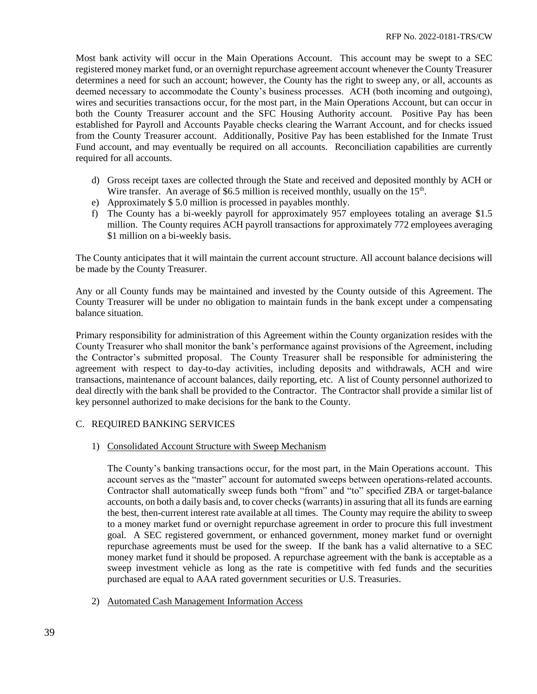Most bank activity will occur in the Main Operations Account. This account may be swept to a SEC registered money market fund, or an overnight repurchase agreement account whenever the County Treasurer determines a need for such an account; however, the County has the right to sweep any, or all, accounts as deemed necessary to accommodate the County's business processes. ACH (both incoming and outgoing), wires and securities transactions occur, for the most part, in the Main Operations Account, but can occur in both the County Treasurer account and the SFC Housing Authority account. Positive Pay has been established for Payroll and Accounts Payable checks clearing the Warrant Account, and for checks issued from the County Treasurer account. Additionally, Positive Pay has been established for the Inmate Trust Fund account, and may eventually be required on all accounts. Reconciliation capabilities are currently required for all accounts.

- d) Gross receipt taxes are collected through the State and received and deposited monthly by ACH or Wire transfer. An average of \$6.5 million is received monthly, usually on the  $15<sup>th</sup>$ .
- e) Approximately \$ 5.0 million is processed in payables monthly.
- f) The County has a bi-weekly payroll for approximately 957 employees totaling an average \$1.5 million. The County requires ACH payroll transactions for approximately 772 employees averaging \$1 million on a bi-weekly basis.

The County anticipates that it will maintain the current account structure. All account balance decisions will be made by the County Treasurer.

Any or all County funds may be maintained and invested by the County outside of this Agreement. The County Treasurer will be under no obligation to maintain funds in the bank except under a compensating balance situation.

Primary responsibility for administration of this Agreement within the County organization resides with the County Treasurer who shall monitor the bank's performance against provisions of the Agreement, including the Contractor's submitted proposal. The County Treasurer shall be responsible for administering the agreement with respect to day-to-day activities, including deposits and withdrawals, ACH and wire transactions, maintenance of account balances, daily reporting, etc. A list of County personnel authorized to deal directly with the bank shall be provided to the Contractor. The Contractor shall provide a similar list of key personnel authorized to make decisions for the bank to the County.

## C. REQUIRED BANKING SERVICES

## 1) Consolidated Account Structure with Sweep Mechanism

The County's banking transactions occur, for the most part, in the Main Operations account. This account serves as the "master" account for automated sweeps between operations-related accounts. Contractor shall automatically sweep funds both "from" and "to" specified ZBA or target-balance accounts, on both a daily basis and, to cover checks (warrants) in assuring that all its funds are earning the best, then-current interest rate available at all times. The County may require the ability to sweep to a money market fund or overnight repurchase agreement in order to procure this full investment goal. A SEC registered government, or enhanced government, money market fund or overnight repurchase agreements must be used for the sweep. If the bank has a valid alternative to a SEC money market fund it should be proposed. A repurchase agreement with the bank is acceptable as a sweep investment vehicle as long as the rate is competitive with fed funds and the securities purchased are equal to AAA rated government securities or U.S. Treasuries.

2) Automated Cash Management Information Access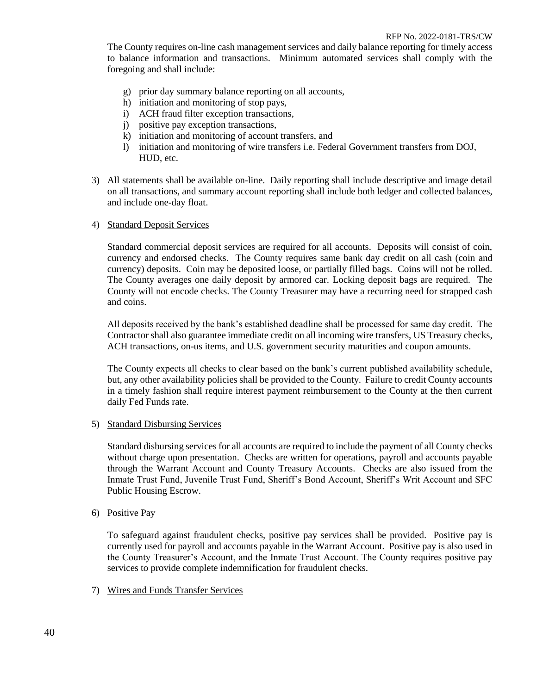The County requires on-line cash management services and daily balance reporting for timely access to balance information and transactions. Minimum automated services shall comply with the foregoing and shall include:

- g) prior day summary balance reporting on all accounts,
- h) initiation and monitoring of stop pays,
- i) ACH fraud filter exception transactions,
- j) positive pay exception transactions,
- k) initiation and monitoring of account transfers, and
- l) initiation and monitoring of wire transfers i.e. Federal Government transfers from DOJ, HUD, etc.
- 3) All statements shall be available on-line. Daily reporting shall include descriptive and image detail on all transactions, and summary account reporting shall include both ledger and collected balances, and include one-day float.

## 4) Standard Deposit Services

Standard commercial deposit services are required for all accounts. Deposits will consist of coin, currency and endorsed checks. The County requires same bank day credit on all cash (coin and currency) deposits. Coin may be deposited loose, or partially filled bags. Coins will not be rolled. The County averages one daily deposit by armored car. Locking deposit bags are required. The County will not encode checks. The County Treasurer may have a recurring need for strapped cash and coins.

All deposits received by the bank's established deadline shall be processed for same day credit. The Contractor shall also guarantee immediate credit on all incoming wire transfers, US Treasury checks, ACH transactions, on-us items, and U.S. government security maturities and coupon amounts.

The County expects all checks to clear based on the bank's current published availability schedule, but, any other availability policies shall be provided to the County. Failure to credit County accounts in a timely fashion shall require interest payment reimbursement to the County at the then current daily Fed Funds rate.

## 5) Standard Disbursing Services

Standard disbursing services for all accounts are required to include the payment of all County checks without charge upon presentation. Checks are written for operations, payroll and accounts payable through the Warrant Account and County Treasury Accounts. Checks are also issued from the Inmate Trust Fund, Juvenile Trust Fund, Sheriff's Bond Account, Sheriff's Writ Account and SFC Public Housing Escrow.

6) Positive Pay

To safeguard against fraudulent checks, positive pay services shall be provided. Positive pay is currently used for payroll and accounts payable in the Warrant Account. Positive pay is also used in the County Treasurer's Account, and the Inmate Trust Account. The County requires positive pay services to provide complete indemnification for fraudulent checks.

## 7) Wires and Funds Transfer Services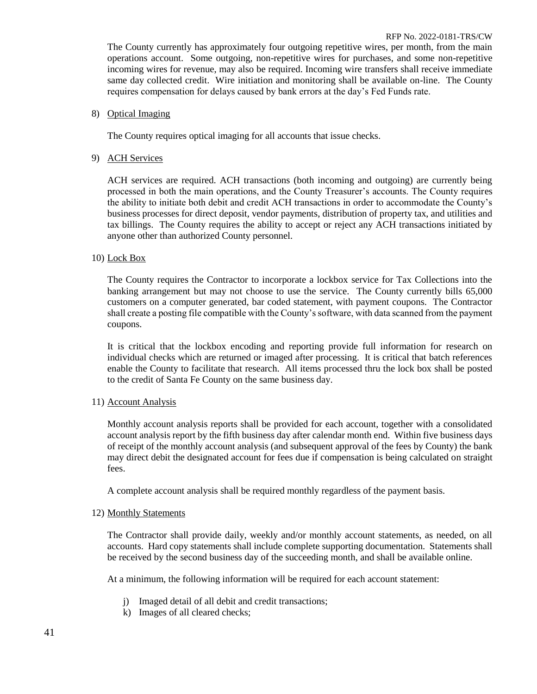The County currently has approximately four outgoing repetitive wires, per month, from the main operations account. Some outgoing, non-repetitive wires for purchases, and some non-repetitive incoming wires for revenue, may also be required. Incoming wire transfers shall receive immediate same day collected credit. Wire initiation and monitoring shall be available on-line. The County requires compensation for delays caused by bank errors at the day's Fed Funds rate.

## 8) Optical Imaging

The County requires optical imaging for all accounts that issue checks.

## 9) ACH Services

ACH services are required. ACH transactions (both incoming and outgoing) are currently being processed in both the main operations, and the County Treasurer's accounts. The County requires the ability to initiate both debit and credit ACH transactions in order to accommodate the County's business processes for direct deposit, vendor payments, distribution of property tax, and utilities and tax billings. The County requires the ability to accept or reject any ACH transactions initiated by anyone other than authorized County personnel.

## 10) Lock Box

The County requires the Contractor to incorporate a lockbox service for Tax Collections into the banking arrangement but may not choose to use the service. The County currently bills 65,000 customers on a computer generated, bar coded statement, with payment coupons. The Contractor shall create a posting file compatible with the County's software, with data scanned from the payment coupons.

It is critical that the lockbox encoding and reporting provide full information for research on individual checks which are returned or imaged after processing. It is critical that batch references enable the County to facilitate that research. All items processed thru the lock box shall be posted to the credit of Santa Fe County on the same business day.

#### 11) Account Analysis

Monthly account analysis reports shall be provided for each account, together with a consolidated account analysis report by the fifth business day after calendar month end. Within five business days of receipt of the monthly account analysis (and subsequent approval of the fees by County) the bank may direct debit the designated account for fees due if compensation is being calculated on straight fees.

A complete account analysis shall be required monthly regardless of the payment basis.

#### 12) Monthly Statements

The Contractor shall provide daily, weekly and/or monthly account statements, as needed, on all accounts. Hard copy statements shall include complete supporting documentation. Statements shall be received by the second business day of the succeeding month, and shall be available online.

At a minimum, the following information will be required for each account statement:

- j) Imaged detail of all debit and credit transactions;
- k) Images of all cleared checks;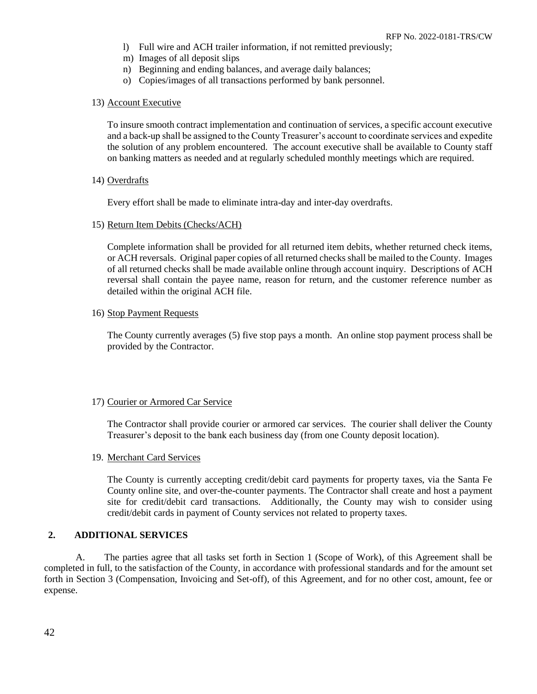- l) Full wire and ACH trailer information, if not remitted previously;
- m) Images of all deposit slips
- n) Beginning and ending balances, and average daily balances;
- o) Copies/images of all transactions performed by bank personnel.

### 13) Account Executive

To insure smooth contract implementation and continuation of services, a specific account executive and a back-up shall be assigned to the County Treasurer's account to coordinate services and expedite the solution of any problem encountered. The account executive shall be available to County staff on banking matters as needed and at regularly scheduled monthly meetings which are required.

## 14) Overdrafts

Every effort shall be made to eliminate intra-day and inter-day overdrafts.

15) Return Item Debits (Checks/ACH)

Complete information shall be provided for all returned item debits, whether returned check items, or ACH reversals. Original paper copies of all returned checks shall be mailed to the County. Images of all returned checks shall be made available online through account inquiry. Descriptions of ACH reversal shall contain the payee name, reason for return, and the customer reference number as detailed within the original ACH file.

## 16) Stop Payment Requests

The County currently averages (5) five stop pays a month. An online stop payment process shall be provided by the Contractor.

#### 17) Courier or Armored Car Service

The Contractor shall provide courier or armored car services. The courier shall deliver the County Treasurer's deposit to the bank each business day (from one County deposit location).

## 19. Merchant Card Services

The County is currently accepting credit/debit card payments for property taxes, via the Santa Fe County online site, and over-the-counter payments. The Contractor shall create and host a payment site for credit/debit card transactions. Additionally, the County may wish to consider using credit/debit cards in payment of County services not related to property taxes.

## **2. ADDITIONAL SERVICES**

A. The parties agree that all tasks set forth in Section 1 (Scope of Work), of this Agreement shall be completed in full, to the satisfaction of the County, in accordance with professional standards and for the amount set forth in Section 3 (Compensation, Invoicing and Set-off), of this Agreement, and for no other cost, amount, fee or expense.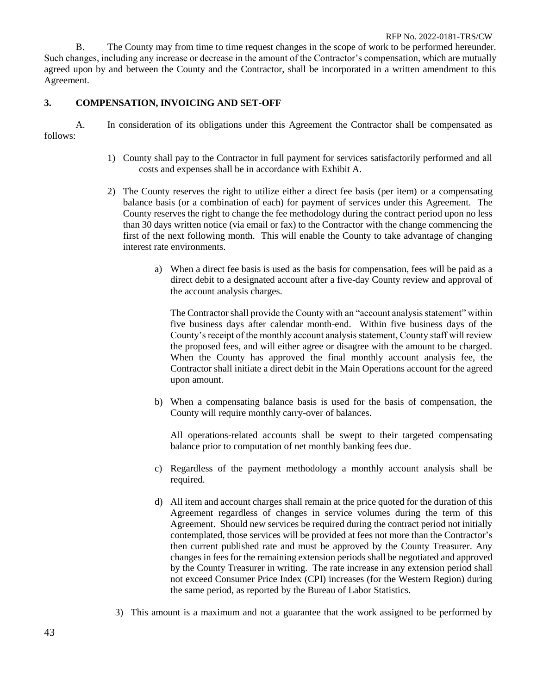B. The County may from time to time request changes in the scope of work to be performed hereunder. Such changes, including any increase or decrease in the amount of the Contractor's compensation, which are mutually agreed upon by and between the County and the Contractor, shall be incorporated in a written amendment to this Agreement.

## **3. COMPENSATION, INVOICING AND SET-OFF**

A. In consideration of its obligations under this Agreement the Contractor shall be compensated as follows:

- 1) County shall pay to the Contractor in full payment for services satisfactorily performed and all costs and expenses shall be in accordance with Exhibit A.
- 2) The County reserves the right to utilize either a direct fee basis (per item) or a compensating balance basis (or a combination of each) for payment of services under this Agreement. The County reserves the right to change the fee methodology during the contract period upon no less than 30 days written notice (via email or fax) to the Contractor with the change commencing the first of the next following month. This will enable the County to take advantage of changing interest rate environments.
	- a) When a direct fee basis is used as the basis for compensation, fees will be paid as a direct debit to a designated account after a five-day County review and approval of the account analysis charges.

The Contractor shall provide the County with an "account analysis statement" within five business days after calendar month-end. Within five business days of the County's receipt of the monthly account analysis statement, County staff will review the proposed fees, and will either agree or disagree with the amount to be charged. When the County has approved the final monthly account analysis fee, the Contractor shall initiate a direct debit in the Main Operations account for the agreed upon amount.

b) When a compensating balance basis is used for the basis of compensation, the County will require monthly carry-over of balances.

All operations-related accounts shall be swept to their targeted compensating balance prior to computation of net monthly banking fees due.

- c) Regardless of the payment methodology a monthly account analysis shall be required.
- d) All item and account charges shall remain at the price quoted for the duration of this Agreement regardless of changes in service volumes during the term of this Agreement. Should new services be required during the contract period not initially contemplated, those services will be provided at fees not more than the Contractor's then current published rate and must be approved by the County Treasurer. Any changes in fees for the remaining extension periods shall be negotiated and approved by the County Treasurer in writing. The rate increase in any extension period shall not exceed Consumer Price Index (CPI) increases (for the Western Region) during the same period, as reported by the Bureau of Labor Statistics.
- 3) This amount is a maximum and not a guarantee that the work assigned to be performed by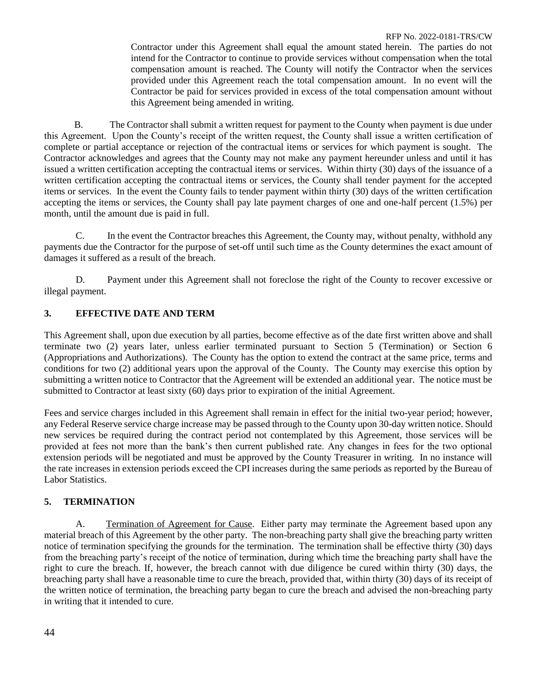Contractor under this Agreement shall equal the amount stated herein. The parties do not intend for the Contractor to continue to provide services without compensation when the total compensation amount is reached. The County will notify the Contractor when the services provided under this Agreement reach the total compensation amount. In no event will the Contractor be paid for services provided in excess of the total compensation amount without this Agreement being amended in writing.

B. The Contractor shall submit a written request for payment to the County when payment is due under this Agreement. Upon the County's receipt of the written request, the County shall issue a written certification of complete or partial acceptance or rejection of the contractual items or services for which payment is sought. The Contractor acknowledges and agrees that the County may not make any payment hereunder unless and until it has issued a written certification accepting the contractual items or services. Within thirty (30) days of the issuance of a written certification accepting the contractual items or services, the County shall tender payment for the accepted items or services. In the event the County fails to tender payment within thirty (30) days of the written certification accepting the items or services, the County shall pay late payment charges of one and one-half percent (1.5%) per month, until the amount due is paid in full.

C. In the event the Contractor breaches this Agreement, the County may, without penalty, withhold any payments due the Contractor for the purpose of set-off until such time as the County determines the exact amount of damages it suffered as a result of the breach.

D. Payment under this Agreement shall not foreclose the right of the County to recover excessive or illegal payment.

# **3. EFFECTIVE DATE AND TERM**

This Agreement shall, upon due execution by all parties, become effective as of the date first written above and shall terminate two (2) years later, unless earlier terminated pursuant to Section 5 (Termination) or Section 6 (Appropriations and Authorizations). The County has the option to extend the contract at the same price, terms and conditions for two (2) additional years upon the approval of the County. The County may exercise this option by submitting a written notice to Contractor that the Agreement will be extended an additional year. The notice must be submitted to Contractor at least sixty (60) days prior to expiration of the initial Agreement.

Fees and service charges included in this Agreement shall remain in effect for the initial two-year period; however, any Federal Reserve service charge increase may be passed through to the County upon 30-day written notice. Should new services be required during the contract period not contemplated by this Agreement, those services will be provided at fees not more than the bank's then current published rate. Any changes in fees for the two optional extension periods will be negotiated and must be approved by the County Treasurer in writing. In no instance will the rate increases in extension periods exceed the CPI increases during the same periods as reported by the Bureau of Labor Statistics.

# **5. TERMINATION**

A. Termination of Agreement for Cause. Either party may terminate the Agreement based upon any material breach of this Agreement by the other party. The non-breaching party shall give the breaching party written notice of termination specifying the grounds for the termination. The termination shall be effective thirty (30) days from the breaching party's receipt of the notice of termination, during which time the breaching party shall have the right to cure the breach. If, however, the breach cannot with due diligence be cured within thirty (30) days, the breaching party shall have a reasonable time to cure the breach, provided that, within thirty (30) days of its receipt of the written notice of termination, the breaching party began to cure the breach and advised the non-breaching party in writing that it intended to cure.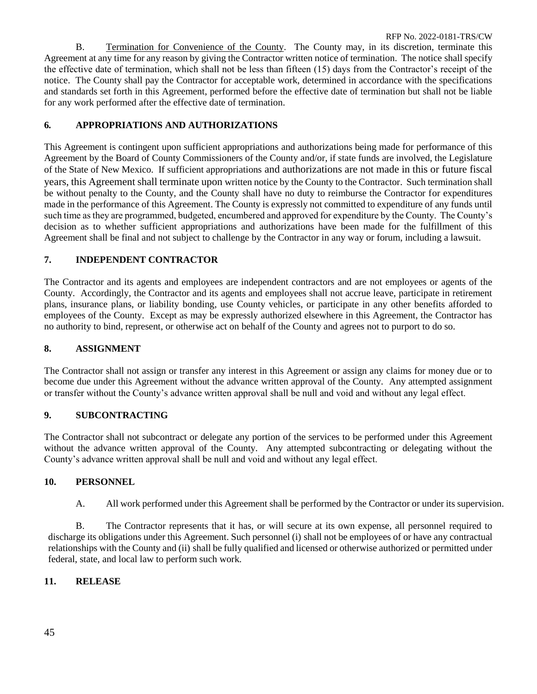B. Termination for Convenience of the County. The County may, in its discretion, terminate this Agreement at any time for any reason by giving the Contractor written notice of termination. The notice shall specify the effective date of termination, which shall not be less than fifteen (15) days from the Contractor's receipt of the notice. The County shall pay the Contractor for acceptable work, determined in accordance with the specifications and standards set forth in this Agreement, performed before the effective date of termination but shall not be liable for any work performed after the effective date of termination.

# **6***.* **APPROPRIATIONS AND AUTHORIZATIONS**

This Agreement is contingent upon sufficient appropriations and authorizations being made for performance of this Agreement by the Board of County Commissioners of the County and/or, if state funds are involved, the Legislature of the State of New Mexico. If sufficient appropriations and authorizations are not made in this or future fiscal years, this Agreement shall terminate upon written notice by the County to the Contractor. Such termination shall be without penalty to the County, and the County shall have no duty to reimburse the Contractor for expenditures made in the performance of this Agreement. The County is expressly not committed to expenditure of any funds until such time as they are programmed, budgeted, encumbered and approved for expenditure by the County. The County's decision as to whether sufficient appropriations and authorizations have been made for the fulfillment of this Agreement shall be final and not subject to challenge by the Contractor in any way or forum, including a lawsuit.

# **7. INDEPENDENT CONTRACTOR**

The Contractor and its agents and employees are independent contractors and are not employees or agents of the County. Accordingly, the Contractor and its agents and employees shall not accrue leave, participate in retirement plans, insurance plans, or liability bonding, use County vehicles, or participate in any other benefits afforded to employees of the County. Except as may be expressly authorized elsewhere in this Agreement, the Contractor has no authority to bind, represent, or otherwise act on behalf of the County and agrees not to purport to do so.

# **8. ASSIGNMENT**

The Contractor shall not assign or transfer any interest in this Agreement or assign any claims for money due or to become due under this Agreement without the advance written approval of the County. Any attempted assignment or transfer without the County's advance written approval shall be null and void and without any legal effect.

# **9. SUBCONTRACTING**

The Contractor shall not subcontract or delegate any portion of the services to be performed under this Agreement without the advance written approval of the County. Any attempted subcontracting or delegating without the County's advance written approval shall be null and void and without any legal effect.

# **10. PERSONNEL**

A. All work performed under this Agreement shall be performed by the Contractor or under its supervision.

B. The Contractor represents that it has, or will secure at its own expense, all personnel required to discharge its obligations under this Agreement. Such personnel (i) shall not be employees of or have any contractual relationships with the County and (ii) shall be fully qualified and licensed or otherwise authorized or permitted under federal, state, and local law to perform such work.

# **11. RELEASE**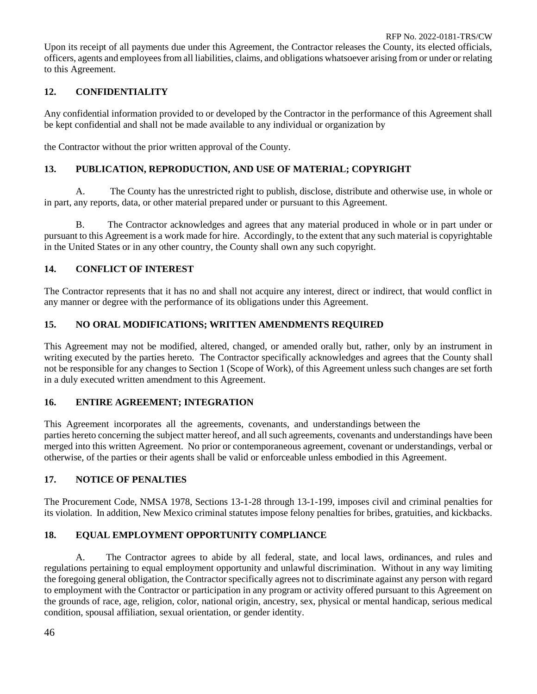Upon its receipt of all payments due under this Agreement, the Contractor releases the County, its elected officials, officers, agents and employees from all liabilities, claims, and obligations whatsoever arising from or under or relating to this Agreement.

# **12. CONFIDENTIALITY**

Any confidential information provided to or developed by the Contractor in the performance of this Agreement shall be kept confidential and shall not be made available to any individual or organization by

the Contractor without the prior written approval of the County.

# **13. PUBLICATION, REPRODUCTION, AND USE OF MATERIAL; COPYRIGHT**

A. The County has the unrestricted right to publish, disclose, distribute and otherwise use, in whole or in part, any reports, data, or other material prepared under or pursuant to this Agreement.

B. The Contractor acknowledges and agrees that any material produced in whole or in part under or pursuant to this Agreement is a work made for hire. Accordingly, to the extent that any such material is copyrightable in the United States or in any other country, the County shall own any such copyright.

# **14. CONFLICT OF INTEREST**

The Contractor represents that it has no and shall not acquire any interest, direct or indirect, that would conflict in any manner or degree with the performance of its obligations under this Agreement.

# **15. NO ORAL MODIFICATIONS; WRITTEN AMENDMENTS REQUIRED**

This Agreement may not be modified, altered, changed, or amended orally but, rather, only by an instrument in writing executed by the parties hereto. The Contractor specifically acknowledges and agrees that the County shall not be responsible for any changes to Section 1 (Scope of Work), of this Agreement unless such changes are set forth in a duly executed written amendment to this Agreement.

# **16. ENTIRE AGREEMENT; INTEGRATION**

This Agreement incorporates all the agreements, covenants, and understandings between the parties hereto concerning the subject matter hereof, and all such agreements, covenants and understandings have been merged into this written Agreement. No prior or contemporaneous agreement, covenant or understandings, verbal or otherwise, of the parties or their agents shall be valid or enforceable unless embodied in this Agreement.

# **17. NOTICE OF PENALTIES**

The Procurement Code, NMSA 1978, Sections 13-1-28 through 13-1-199, imposes civil and criminal penalties for its violation. In addition, New Mexico criminal statutes impose felony penalties for bribes, gratuities, and kickbacks.

# **18. EQUAL EMPLOYMENT OPPORTUNITY COMPLIANCE**

A. The Contractor agrees to abide by all federal, state, and local laws, ordinances, and rules and regulations pertaining to equal employment opportunity and unlawful discrimination. Without in any way limiting the foregoing general obligation, the Contractor specifically agrees not to discriminate against any person with regard to employment with the Contractor or participation in any program or activity offered pursuant to this Agreement on the grounds of race, age, religion, color, national origin, ancestry, sex, physical or mental handicap, serious medical condition, spousal affiliation, sexual orientation, or gender identity.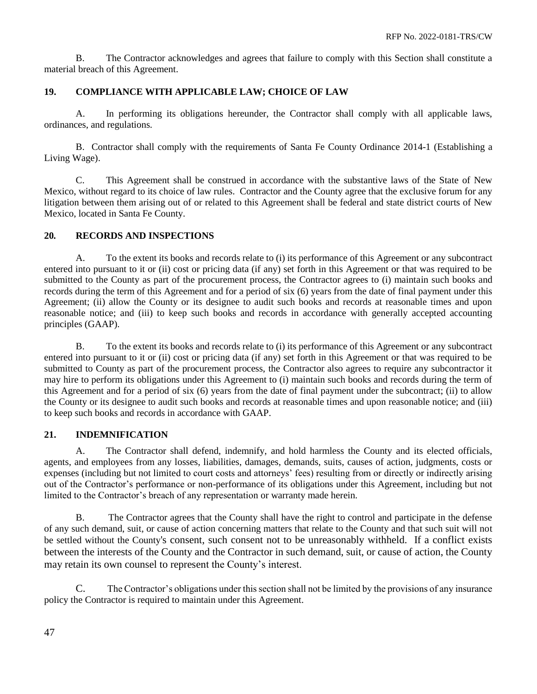B. The Contractor acknowledges and agrees that failure to comply with this Section shall constitute a material breach of this Agreement.

# **19. COMPLIANCE WITH APPLICABLE LAW; CHOICE OF LAW**

A. In performing its obligations hereunder, the Contractor shall comply with all applicable laws, ordinances, and regulations.

B. Contractor shall comply with the requirements of Santa Fe County Ordinance 2014-1 (Establishing a Living Wage).

C. This Agreement shall be construed in accordance with the substantive laws of the State of New Mexico, without regard to its choice of law rules. Contractor and the County agree that the exclusive forum for any litigation between them arising out of or related to this Agreement shall be federal and state district courts of New Mexico, located in Santa Fe County.

# **20***.* **RECORDS AND INSPECTIONS**

A. To the extent its books and records relate to (i) its performance of this Agreement or any subcontract entered into pursuant to it or (ii) cost or pricing data (if any) set forth in this Agreement or that was required to be submitted to the County as part of the procurement process, the Contractor agrees to (i) maintain such books and records during the term of this Agreement and for a period of six (6) years from the date of final payment under this Agreement; (ii) allow the County or its designee to audit such books and records at reasonable times and upon reasonable notice; and (iii) to keep such books and records in accordance with generally accepted accounting principles (GAAP).

B. To the extent its books and records relate to (i) its performance of this Agreement or any subcontract entered into pursuant to it or (ii) cost or pricing data (if any) set forth in this Agreement or that was required to be submitted to County as part of the procurement process, the Contractor also agrees to require any subcontractor it may hire to perform its obligations under this Agreement to (i) maintain such books and records during the term of this Agreement and for a period of six (6) years from the date of final payment under the subcontract; (ii) to allow the County or its designee to audit such books and records at reasonable times and upon reasonable notice; and (iii) to keep such books and records in accordance with GAAP.

# **21. INDEMNIFICATION**

A. The Contractor shall defend, indemnify, and hold harmless the County and its elected officials, agents, and employees from any losses, liabilities, damages, demands, suits, causes of action, judgments, costs or expenses (including but not limited to court costs and attorneys' fees) resulting from or directly or indirectly arising out of the Contractor's performance or non-performance of its obligations under this Agreement, including but not limited to the Contractor's breach of any representation or warranty made herein.

B. The Contractor agrees that the County shall have the right to control and participate in the defense of any such demand, suit, or cause of action concerning matters that relate to the County and that such suit will not be settled without the County's consent, such consent not to be unreasonably withheld. If a conflict exists between the interests of the County and the Contractor in such demand, suit, or cause of action, the County may retain its own counsel to represent the County's interest.

C. The Contractor's obligations under this section shall not be limited by the provisions of any insurance policy the Contractor is required to maintain under this Agreement.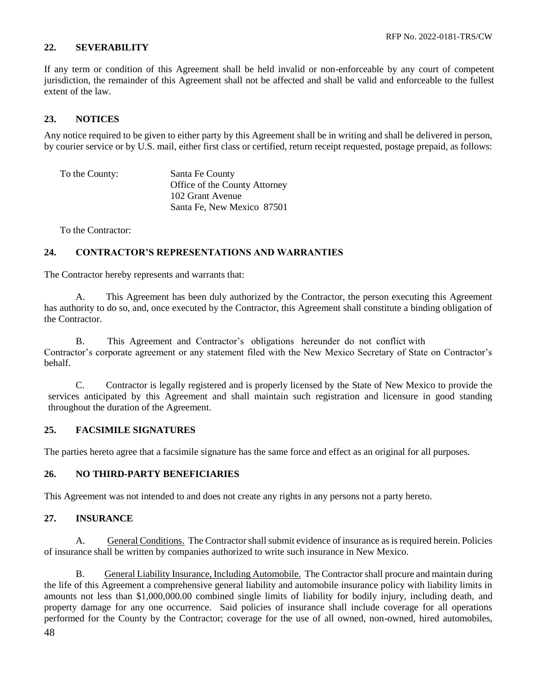## **22. SEVERABILITY**

If any term or condition of this Agreement shall be held invalid or non-enforceable by any court of competent jurisdiction, the remainder of this Agreement shall not be affected and shall be valid and enforceable to the fullest extent of the law.

# **23. NOTICES**

Any notice required to be given to either party by this Agreement shall be in writing and shall be delivered in person, by courier service or by U.S. mail, either first class or certified, return receipt requested, postage prepaid, as follows:

To the County: Santa Fe County Office of the County Attorney 102 Grant Avenue Santa Fe, New Mexico 87501

To the Contractor:

## **24. CONTRACTOR'S REPRESENTATIONS AND WARRANTIES**

The Contractor hereby represents and warrants that:

A. This Agreement has been duly authorized by the Contractor, the person executing this Agreement has authority to do so, and, once executed by the Contractor, this Agreement shall constitute a binding obligation of the Contractor.

B. This Agreement and Contractor's obligations hereunder do not conflict with Contractor's corporate agreement or any statement filed with the New Mexico Secretary of State on Contractor's behalf.

C. Contractor is legally registered and is properly licensed by the State of New Mexico to provide the services anticipated by this Agreement and shall maintain such registration and licensure in good standing throughout the duration of the Agreement.

# **25. FACSIMILE SIGNATURES**

The parties hereto agree that a facsimile signature has the same force and effect as an original for all purposes.

## **26. NO THIRD-PARTY BENEFICIARIES**

This Agreement was not intended to and does not create any rights in any persons not a party hereto.

## **27. INSURANCE**

A. General Conditions. The Contractor shall submit evidence of insurance as is required herein. Policies of insurance shall be written by companies authorized to write such insurance in New Mexico.

48 B. General Liability Insurance, Including Automobile. The Contractor shall procure and maintain during the life of this Agreement a comprehensive general liability and automobile insurance policy with liability limits in amounts not less than \$1,000,000.00 combined single limits of liability for bodily injury, including death, and property damage for any one occurrence. Said policies of insurance shall include coverage for all operations performed for the County by the Contractor; coverage for the use of all owned, non-owned, hired automobiles,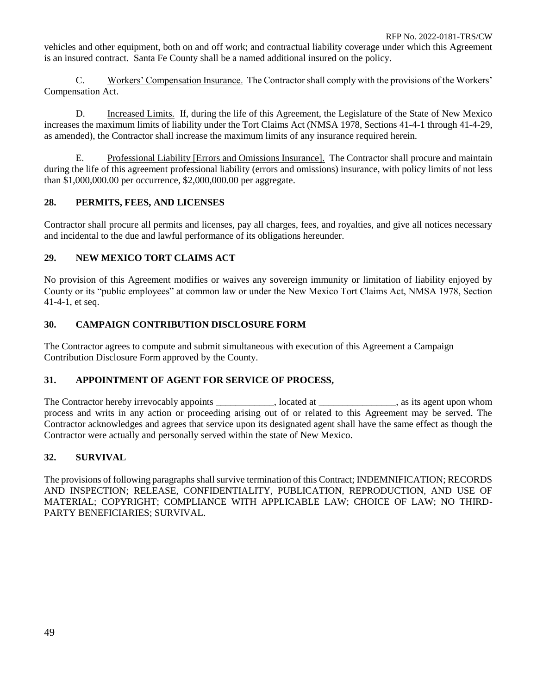vehicles and other equipment, both on and off work; and contractual liability coverage under which this Agreement is an insured contract. Santa Fe County shall be a named additional insured on the policy.

C. Workers' Compensation Insurance. The Contractor shall comply with the provisions of the Workers' Compensation Act.

D. Increased Limits. If, during the life of this Agreement, the Legislature of the State of New Mexico increases the maximum limits of liability under the Tort Claims Act (NMSA 1978, Sections 41-4-1 through 41-4-29, as amended), the Contractor shall increase the maximum limits of any insurance required herein.

E. Professional Liability [Errors and Omissions Insurance]. The Contractor shall procure and maintain during the life of this agreement professional liability (errors and omissions) insurance, with policy limits of not less than \$1,000,000.00 per occurrence, \$2,000,000.00 per aggregate.

# **28. PERMITS, FEES, AND LICENSES**

Contractor shall procure all permits and licenses, pay all charges, fees, and royalties, and give all notices necessary and incidental to the due and lawful performance of its obligations hereunder.

# **29. NEW MEXICO TORT CLAIMS ACT**

No provision of this Agreement modifies or waives any sovereign immunity or limitation of liability enjoyed by County or its "public employees" at common law or under the New Mexico Tort Claims Act, NMSA 1978, Section 41-4-1, et seq.

# **30. CAMPAIGN CONTRIBUTION DISCLOSURE FORM**

The Contractor agrees to compute and submit simultaneous with execution of this Agreement a Campaign Contribution Disclosure Form approved by the County.

# **31. APPOINTMENT OF AGENT FOR SERVICE OF PROCESS,**

The Contractor hereby irrevocably appoints \_\_\_\_\_\_\_\_\_\_\_, located at \_\_\_\_\_\_\_\_\_\_\_\_\_\_, as its agent upon whom process and writs in any action or proceeding arising out of or related to this Agreement may be served. The Contractor acknowledges and agrees that service upon its designated agent shall have the same effect as though the Contractor were actually and personally served within the state of New Mexico.

# **32. SURVIVAL**

The provisions of following paragraphs shall survive termination of this Contract; INDEMNIFICATION; RECORDS AND INSPECTION; RELEASE, CONFIDENTIALITY, PUBLICATION, REPRODUCTION, AND USE OF MATERIAL; COPYRIGHT; COMPLIANCE WITH APPLICABLE LAW; CHOICE OF LAW; NO THIRD-PARTY BENEFICIARIES; SURVIVAL.